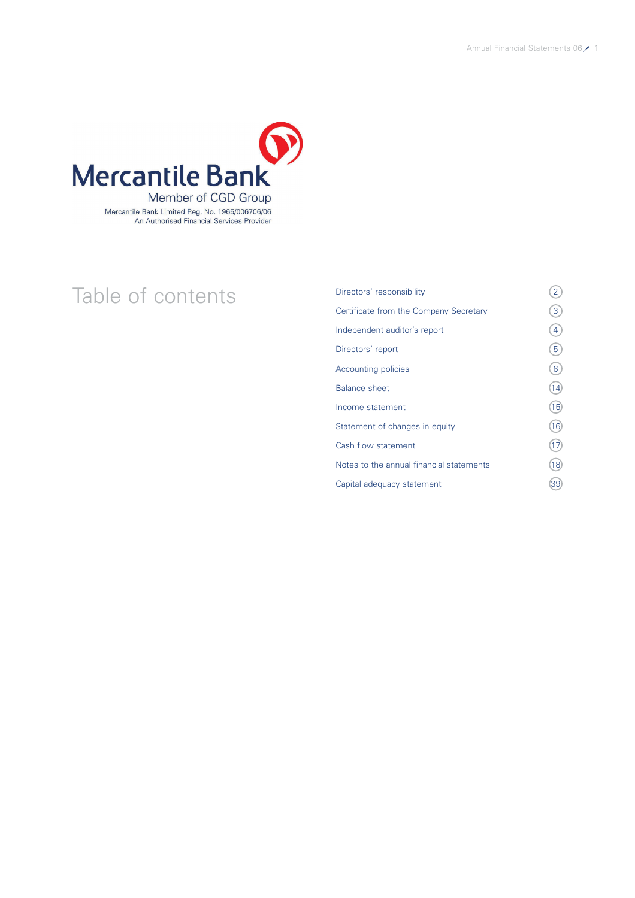

| Directors' responsibility                | $\mathbf{2}$      |
|------------------------------------------|-------------------|
| Certificate from the Company Secretary   | $\lceil 3 \rceil$ |
| Independent auditor's report             | $\overline{4}$    |
| Directors' report                        | 5 <sup>1</sup>    |
| Accounting policies                      | 6                 |
| <b>Balance sheet</b>                     | (14)              |
| Income statement                         | (15)              |
| Statement of changes in equity           | (16)              |
| Cash flow statement                      | (17)              |
| Notes to the annual financial statements | (18)              |
| Capital adequacy statement               | (39)              |
|                                          |                   |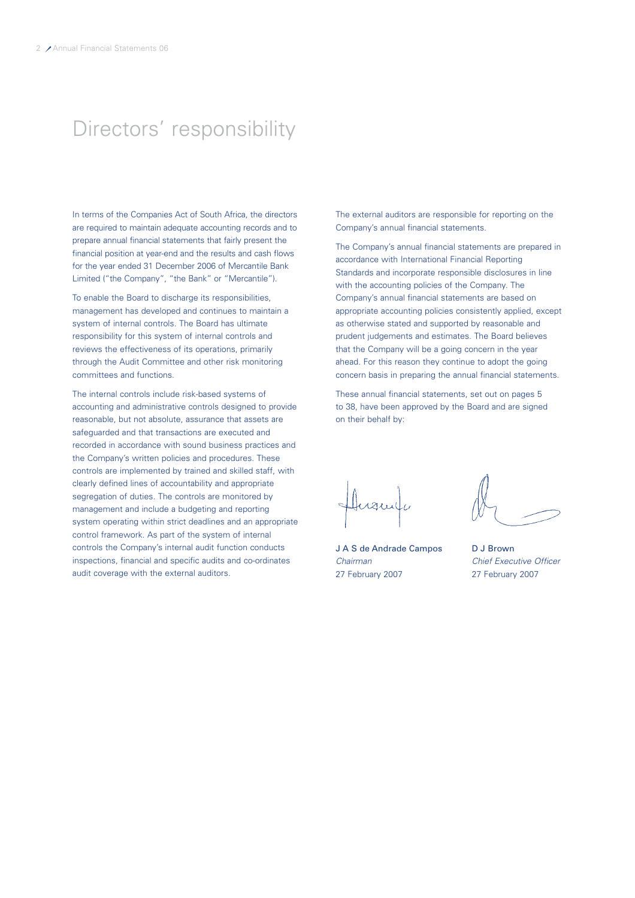# Directors' responsibility

In terms of the Companies Act of South Africa, the directors are required to maintain adequate accounting records and to prepare annual financial statements that fairly present the financial position at year-end and the results and cash flows for the year ended 31 December 2006 of Mercantile Bank Limited ("the Company", "the Bank" or "Mercantile").

To enable the Board to discharge its responsibilities, management has developed and continues to maintain a system of internal controls. The Board has ultimate responsibility for this system of internal controls and reviews the effectiveness of its operations, primarily through the Audit Committee and other risk monitoring committees and functions.

The internal controls include risk-based systems of accounting and administrative controls designed to provide reasonable, but not absolute, assurance that assets are safeguarded and that transactions are executed and recorded in accordance with sound business practices and the Company's written policies and procedures. These controls are implemented by trained and skilled staff, with clearly defined lines of accountability and appropriate segregation of duties. The controls are monitored by management and include a budgeting and reporting system operating within strict deadlines and an appropriate control framework. As part of the system of internal controls the Company's internal audit function conducts inspections, financial and specific audits and co-ordinates audit coverage with the external auditors.

The external auditors are responsible for reporting on the Company's annual financial statements.

The Company's annual financial statements are prepared in accordance with International Financial Reporting Standards and incorporate responsible disclosures in line with the accounting policies of the Company. The Company's annual financial statements are based on appropriate accounting policies consistently applied, except as otherwise stated and supported by reasonable and prudent judgements and estimates. The Board believes that the Company will be a going concern in the year ahead. For this reason they continue to adopt the going concern basis in preparing the annual financial statements.

These annual financial statements, set out on pages 5 to 38, have been approved by the Board and are signed on their behalf by:

J A S de Andrade Campos D J Brown Chairman Chief Executive Officer 27 February 2007 27 February 2007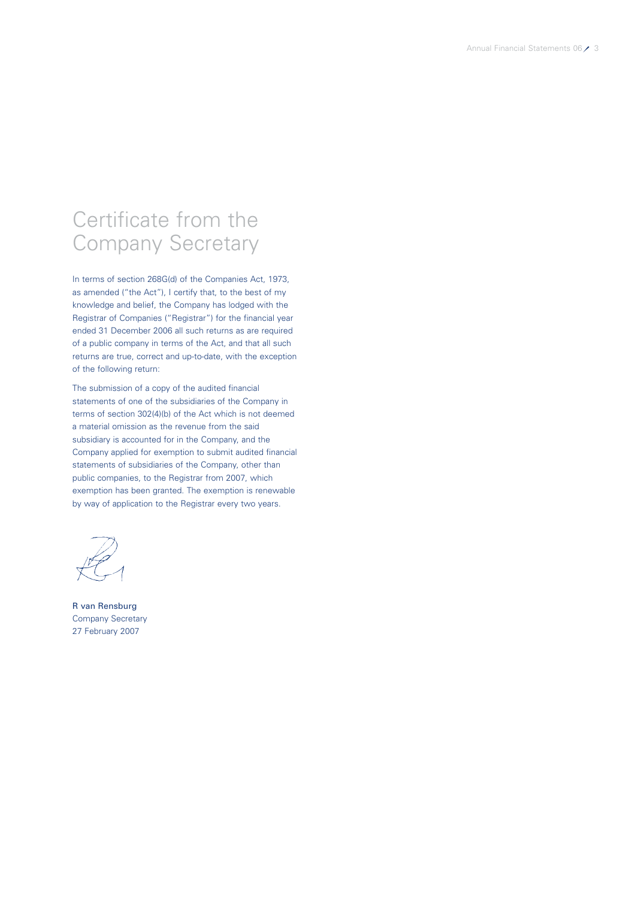# Certificate from the Company Secretary

In terms of section 268G(d) of the Companies Act, 1973, as amended ("the Act"), I certify that, to the best of my knowledge and belief, the Company has lodged with the Registrar of Companies ("Registrar") for the financial year ended 31 December 2006 all such returns as are required of a public company in terms of the Act, and that all such returns are true, correct and up-to-date, with the exception of the following return:

The submission of a copy of the audited financial statements of one of the subsidiaries of the Company in terms of section 302(4)(b) of the Act which is not deemed a material omission as the revenue from the said subsidiary is accounted for in the Company, and the Company applied for exemption to submit audited financial statements of subsidiaries of the Company, other than public companies, to the Registrar from 2007, which exemption has been granted. The exemption is renewable by way of application to the Registrar every two years.

R van Rensburg Company Secretary 27 February 2007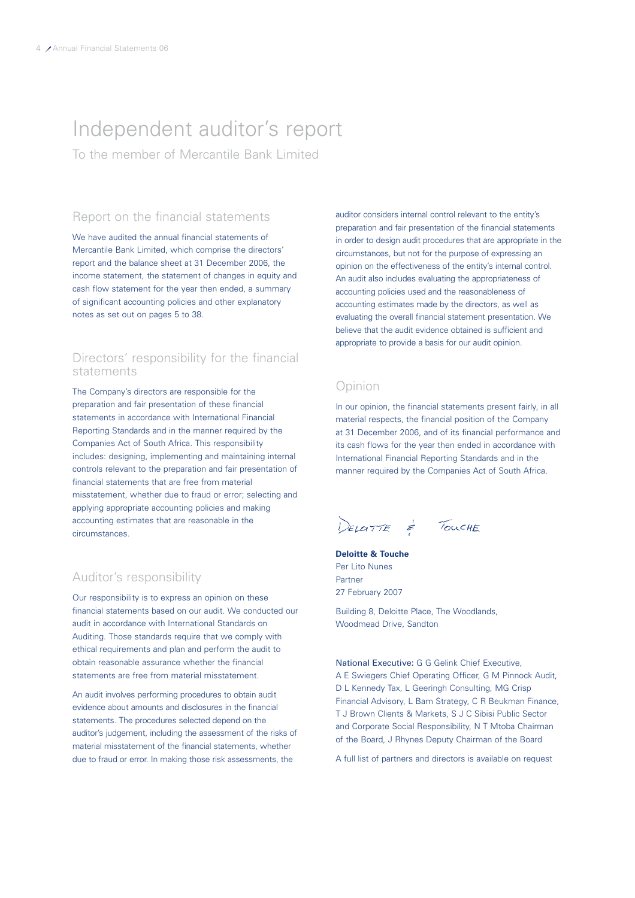# Independent auditor's report

To the member of Mercantile Bank Limited

# Report on the financial statements

We have audited the annual financial statements of Mercantile Bank Limited, which comprise the directors' report and the balance sheet at 31 December 2006, the income statement, the statement of changes in equity and cash flow statement for the year then ended, a summary of significant accounting policies and other explanatory notes as set out on pages 5 to 38.

# Directors' responsibility for the financial statements

The Company's directors are responsible for the preparation and fair presentation of these financial statements in accordance with International Financial Reporting Standards and in the manner required by the Companies Act of South Africa. This responsibility includes: designing, implementing and maintaining internal controls relevant to the preparation and fair presentation of financial statements that are free from material misstatement, whether due to fraud or error; selecting and applying appropriate accounting policies and making accounting estimates that are reasonable in the circumstances.

# Auditor's responsibility

Our responsibility is to express an opinion on these financial statements based on our audit. We conducted our audit in accordance with International Standards on Auditing. Those standards require that we comply with ethical requirements and plan and perform the audit to obtain reasonable assurance whether the financial statements are free from material misstatement.

An audit involves performing procedures to obtain audit evidence about amounts and disclosures in the financial statements. The procedures selected depend on the auditor's judgement, including the assessment of the risks of material misstatement of the financial statements, whether due to fraud or error. In making those risk assessments, the

auditor considers internal control relevant to the entity's preparation and fair presentation of the financial statements in order to design audit procedures that are appropriate in the circumstances, but not for the purpose of expressing an opinion on the effectiveness of the entity's internal control. An audit also includes evaluating the appropriateness of accounting policies used and the reasonableness of accounting estimates made by the directors, as well as evaluating the overall financial statement presentation. We believe that the audit evidence obtained is sufficient and appropriate to provide a basis for our audit opinion.

# Opinion

In our opinion, the financial statements present fairly, in all material respects, the financial position of the Company at 31 December 2006, and of its financial performance and its cash flows for the year then ended in accordance with International Financial Reporting Standards and in the manner required by the Companies Act of South Africa.

DELOITTE É TOUCHE

**Deloitte & Touche** Per Lito Nunes Partner 27 February 2007

Building 8, Deloitte Place, The Woodlands, Woodmead Drive, Sandton

National Executive: G G Gelink Chief Executive, A E Swiegers Chief Operating Officer, G M Pinnock Audit, D L Kennedy Tax, L Geeringh Consulting, MG Crisp Financial Advisory, L Bam Strategy, C R Beukman Finance, T J Brown Clients & Markets, S J C Sibisi Public Sector and Corporate Social Responsibility, N T Mtoba Chairman of the Board, J Rhynes Deputy Chairman of the Board

A full list of partners and directors is available on request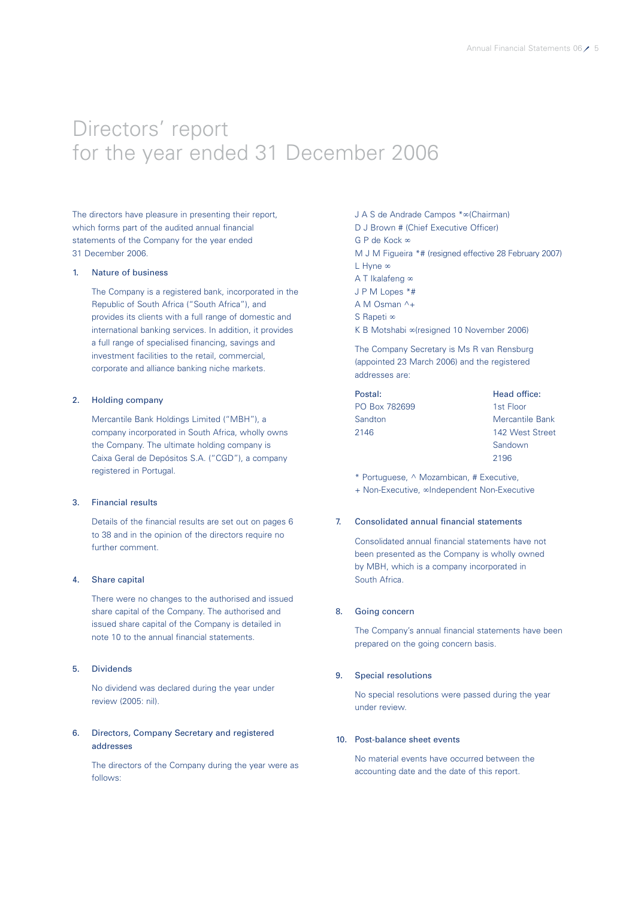# Directors' report for the year ended 31 December 2006

The directors have pleasure in presenting their report, which forms part of the audited annual financial statements of the Company for the year ended 31 December 2006.

#### 1. Nature of business

The Company is a registered bank, incorporated in the Republic of South Africa ("South Africa"), and provides its clients with a full range of domestic and international banking services. In addition, it provides a full range of specialised financing, savings and investment facilities to the retail, commercial, corporate and alliance banking niche markets.

#### 2. Holding company

Mercantile Bank Holdings Limited ("MBH"), a company incorporated in South Africa, wholly owns the Company. The ultimate holding company is Caixa Geral de Depósitos S.A. ("CGD"), a company registered in Portugal.

### 3. Financial results

Details of the financial results are set out on pages 6 to 38 and in the opinion of the directors require no further comment.

#### 4. Share capital

There were no changes to the authorised and issued share capital of the Company. The authorised and issued share capital of the Company is detailed in note 10 to the annual financial statements.

### 5. Dividends

No dividend was declared during the year under review (2005: nil).

# 6. Directors, Company Secretary and registered addresses

The directors of the Company during the year were as follows:

J A S de Andrade Campos \*∞(Chairman) D J Brown # (Chief Executive Officer) G P de Kock ∞ M J M Figueira \*# (resigned effective 28 February 2007) L Hyne ∞ A T Ikalafeng ∞ J P M Lopes \*# A M Osman ^+ S Rapeti ∞ K B Motshabi ∞(resigned 10 November 2006)

The Company Secretary is Ms R van Rensburg (appointed 23 March 2006) and the registered addresses are:

| Postal:       | Head office:    |
|---------------|-----------------|
| PO Box 782699 | 1st Floor       |
| Sandton       | Mercantile Bank |
| 2146          | 142 West Street |
|               | Sandown         |
|               | 2196            |

\* Portuguese, ^ Mozambican, # Executive,

+ Non-Executive, ∞Independent Non-Executive

# 7. Consolidated annual financial statements

Consolidated annual financial statements have not been presented as the Company is wholly owned by MBH, which is a company incorporated in South Africa.

# 8. Going concern

The Company's annual financial statements have been prepared on the going concern basis.

#### 9. Special resolutions

No special resolutions were passed during the year under review.

# 10. Post-balance sheet events

No material events have occurred between the accounting date and the date of this report.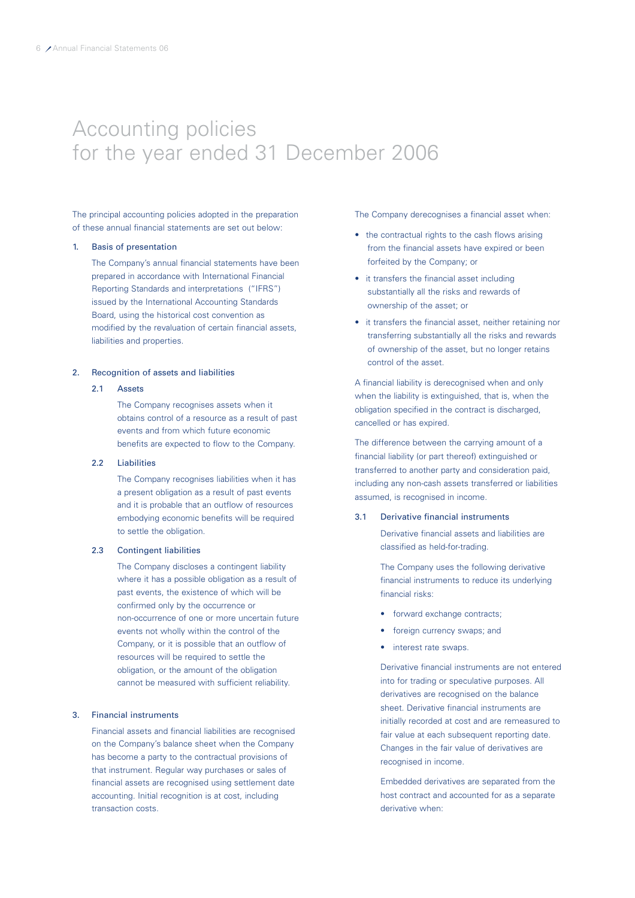# Accounting policies for the year ended 31 December 2006

# The principal accounting policies adopted in the preparation of these annual financial statements are set out below:

#### 1. Basis of presentation

The Company's annual financial statements have been prepared in accordance with International Financial Reporting Standards and interpretations ("IFRS") issued by the International Accounting Standards Board, using the historical cost convention as modified by the revaluation of certain financial assets, liabilities and properties.

### 2. Recognition of assets and liabilities

#### 2.1 Assets

The Company recognises assets when it obtains control of a resource as a result of past events and from which future economic benefits are expected to flow to the Company.

#### 2.2 Liabilities

The Company recognises liabilities when it has a present obligation as a result of past events and it is probable that an outflow of resources embodying economic benefits will be required to settle the obligation.

#### 2.3 Contingent liabilities

The Company discloses a contingent liability where it has a possible obligation as a result of past events, the existence of which will be confirmed only by the occurrence or non-occurrence of one or more uncertain future events not wholly within the control of the Company, or it is possible that an outflow of resources will be required to settle the obligation, or the amount of the obligation cannot be measured with sufficient reliability.

#### 3. Financial instruments

Financial assets and financial liabilities are recognised on the Company's balance sheet when the Company has become a party to the contractual provisions of that instrument. Regular way purchases or sales of financial assets are recognised using settlement date accounting. Initial recognition is at cost, including transaction costs.

The Company derecognises a financial asset when:

- the contractual rights to the cash flows arising from the financial assets have expired or been forfeited by the Company; or
- it transfers the financial asset including substantially all the risks and rewards of ownership of the asset; or
- it transfers the financial asset, neither retaining nor transferring substantially all the risks and rewards of ownership of the asset, but no longer retains control of the asset.

A financial liability is derecognised when and only when the liability is extinguished, that is, when the obligation specified in the contract is discharged, cancelled or has expired.

The difference between the carrying amount of a financial liability (or part thereof) extinguished or transferred to another party and consideration paid, including any non-cash assets transferred or liabilities assumed, is recognised in income.

#### 3.1 Derivative financial instruments

Derivative financial assets and liabilities are classified as held-for-trading.

The Company uses the following derivative financial instruments to reduce its underlying financial risks:

- forward exchange contracts;
- foreign currency swaps; and
- interest rate swaps.

Derivative financial instruments are not entered into for trading or speculative purposes. All derivatives are recognised on the balance sheet. Derivative financial instruments are initially recorded at cost and are remeasured to fair value at each subsequent reporting date. Changes in the fair value of derivatives are recognised in income.

Embedded derivatives are separated from the host contract and accounted for as a separate derivative when: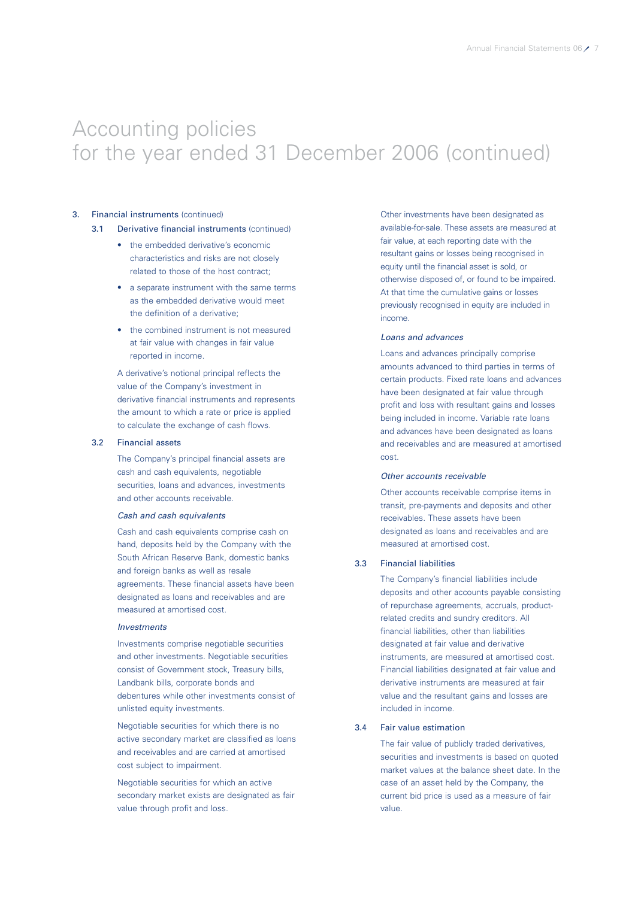### 3. Financial instruments (continued)

- 3.1 Derivative financial instruments (continued)
	- the embedded derivative's economic characteristics and risks are not closely related to those of the host contract;
	- a separate instrument with the same terms as the embedded derivative would meet the definition of a derivative;
	- the combined instrument is not measured at fair value with changes in fair value reported in income.

A derivative's notional principal reflects the value of the Company's investment in derivative financial instruments and represents the amount to which a rate or price is applied to calculate the exchange of cash flows.

#### 3.2 Financial assets

The Company's principal financial assets are cash and cash equivalents, negotiable securities, loans and advances, investments and other accounts receivable.

#### Cash and cash equivalents

Cash and cash equivalents comprise cash on hand, deposits held by the Company with the South African Reserve Bank, domestic banks and foreign banks as well as resale agreements. These financial assets have been designated as loans and receivables and are measured at amortised cost.

#### Investments

Investments comprise negotiable securities and other investments. Negotiable securities consist of Government stock, Treasury bills, Landbank bills, corporate bonds and debentures while other investments consist of unlisted equity investments.

Negotiable securities for which there is no active secondary market are classified as loans and receivables and are carried at amortised cost subject to impairment.

Negotiable securities for which an active secondary market exists are designated as fair value through profit and loss.

Other investments have been designated as available-for-sale. These assets are measured at fair value, at each reporting date with the resultant gains or losses being recognised in equity until the financial asset is sold, or otherwise disposed of, or found to be impaired. At that time the cumulative gains or losses previously recognised in equity are included in income.

#### Loans and advances

Loans and advances principally comprise amounts advanced to third parties in terms of certain products. Fixed rate loans and advances have been designated at fair value through profit and loss with resultant gains and losses being included in income. Variable rate loans and advances have been designated as loans and receivables and are measured at amortised cost.

#### Other accounts receivable

Other accounts receivable comprise items in transit, pre-payments and deposits and other receivables. These assets have been designated as loans and receivables and are measured at amortised cost.

#### 3.3 Financial liabilities

The Company's financial liabilities include deposits and other accounts payable consisting of repurchase agreements, accruals, productrelated credits and sundry creditors. All financial liabilities, other than liabilities designated at fair value and derivative instruments, are measured at amortised cost. Financial liabilities designated at fair value and derivative instruments are measured at fair value and the resultant gains and losses are included in income.

# 3.4 Fair value estimation

The fair value of publicly traded derivatives, securities and investments is based on quoted market values at the balance sheet date. In the case of an asset held by the Company, the current bid price is used as a measure of fair value.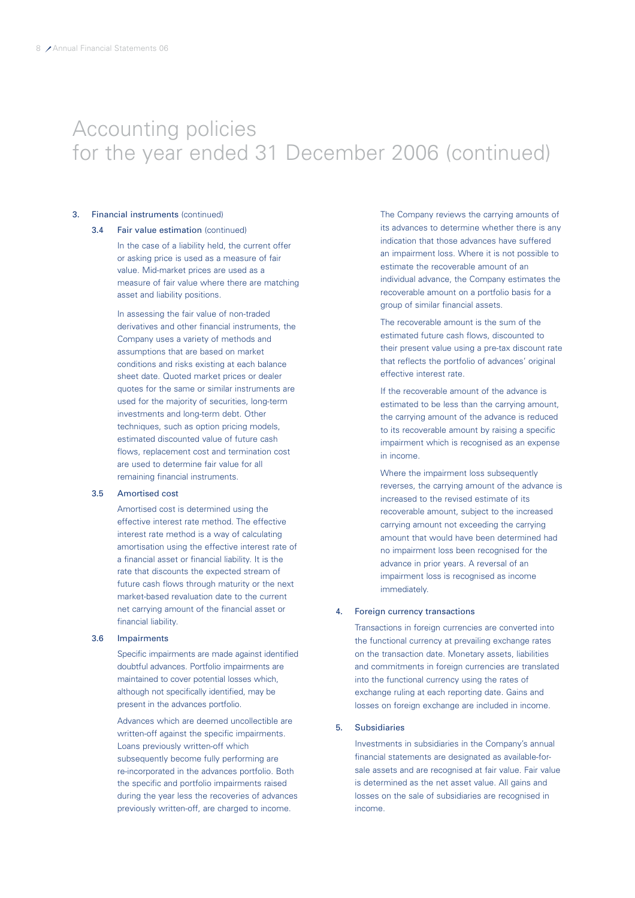### 3. Financial instruments (continued)

### 3.4 Fair value estimation (continued)

In the case of a liability held, the current offer or asking price is used as a measure of fair value. Mid-market prices are used as a measure of fair value where there are matching asset and liability positions.

In assessing the fair value of non-traded derivatives and other financial instruments, the Company uses a variety of methods and assumptions that are based on market conditions and risks existing at each balance sheet date. Quoted market prices or dealer quotes for the same or similar instruments are used for the majority of securities, long-term investments and long-term debt. Other techniques, such as option pricing models, estimated discounted value of future cash flows, replacement cost and termination cost are used to determine fair value for all remaining financial instruments.

#### 3.5 Amortised cost

Amortised cost is determined using the effective interest rate method. The effective interest rate method is a way of calculating amortisation using the effective interest rate of a financial asset or financial liability. It is the rate that discounts the expected stream of future cash flows through maturity or the next market-based revaluation date to the current net carrying amount of the financial asset or financial liability.

### 3.6 Impairments

Specific impairments are made against identified doubtful advances. Portfolio impairments are maintained to cover potential losses which, although not specifically identified, may be present in the advances portfolio.

Advances which are deemed uncollectible are written-off against the specific impairments. Loans previously written-off which subsequently become fully performing are re-incorporated in the advances portfolio. Both the specific and portfolio impairments raised during the year less the recoveries of advances previously written-off, are charged to income.

The Company reviews the carrying amounts of its advances to determine whether there is any indication that those advances have suffered an impairment loss. Where it is not possible to estimate the recoverable amount of an individual advance, the Company estimates the recoverable amount on a portfolio basis for a group of similar financial assets.

The recoverable amount is the sum of the estimated future cash flows, discounted to their present value using a pre-tax discount rate that reflects the portfolio of advances' original effective interest rate.

If the recoverable amount of the advance is estimated to be less than the carrying amount, the carrying amount of the advance is reduced to its recoverable amount by raising a specific impairment which is recognised as an expense in income.

Where the impairment loss subsequently reverses, the carrying amount of the advance is increased to the revised estimate of its recoverable amount, subject to the increased carrying amount not exceeding the carrying amount that would have been determined had no impairment loss been recognised for the advance in prior years. A reversal of an impairment loss is recognised as income immediately.

#### 4. Foreign currency transactions

Transactions in foreign currencies are converted into the functional currency at prevailing exchange rates on the transaction date. Monetary assets, liabilities and commitments in foreign currencies are translated into the functional currency using the rates of exchange ruling at each reporting date. Gains and losses on foreign exchange are included in income.

### 5. Subsidiaries

Investments in subsidiaries in the Company's annual financial statements are designated as available-forsale assets and are recognised at fair value. Fair value is determined as the net asset value. All gains and losses on the sale of subsidiaries are recognised in income.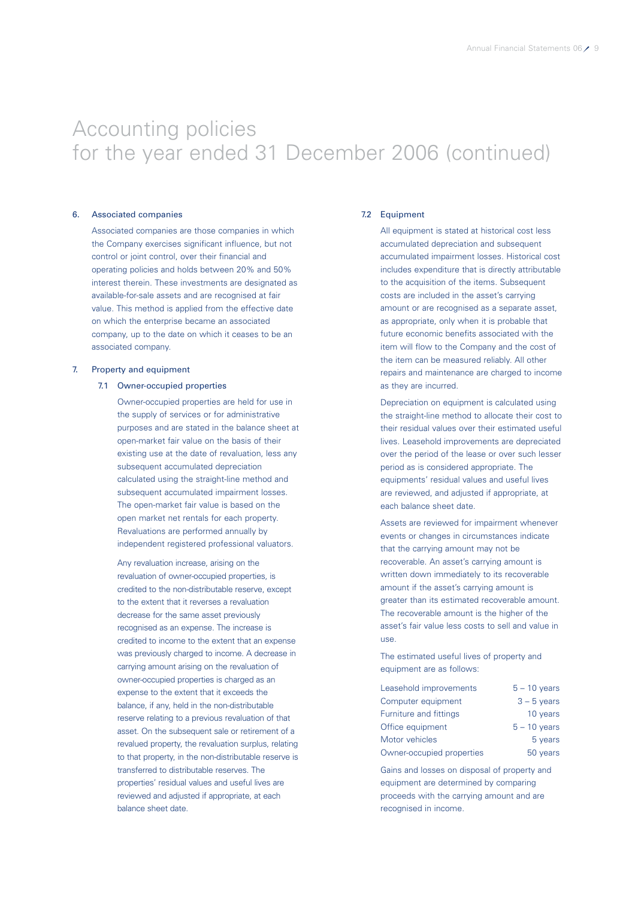### 6. Associated companies

Associated companies are those companies in which the Company exercises significant influence, but not control or joint control, over their financial and operating policies and holds between 20% and 50% interest therein. These investments are designated as available-for-sale assets and are recognised at fair value. This method is applied from the effective date on which the enterprise became an associated company, up to the date on which it ceases to be an associated company.

### 7. Property and equipment

#### 7.1 Owner-occupied properties

Owner-occupied properties are held for use in the supply of services or for administrative purposes and are stated in the balance sheet at open-market fair value on the basis of their existing use at the date of revaluation, less any subsequent accumulated depreciation calculated using the straight-line method and subsequent accumulated impairment losses. The open-market fair value is based on the open market net rentals for each property. Revaluations are performed annually by independent registered professional valuators.

Any revaluation increase, arising on the revaluation of owner-occupied properties, is credited to the non-distributable reserve, except to the extent that it reverses a revaluation decrease for the same asset previously recognised as an expense. The increase is credited to income to the extent that an expense was previously charged to income. A decrease in carrying amount arising on the revaluation of owner-occupied properties is charged as an expense to the extent that it exceeds the balance, if any, held in the non-distributable reserve relating to a previous revaluation of that asset. On the subsequent sale or retirement of a revalued property, the revaluation surplus, relating to that property, in the non-distributable reserve is transferred to distributable reserves. The properties' residual values and useful lives are reviewed and adjusted if appropriate, at each balance sheet date.

#### 7.2 Equipment

All equipment is stated at historical cost less accumulated depreciation and subsequent accumulated impairment losses. Historical cost includes expenditure that is directly attributable to the acquisition of the items. Subsequent costs are included in the asset's carrying amount or are recognised as a separate asset, as appropriate, only when it is probable that future economic benefits associated with the item will flow to the Company and the cost of the item can be measured reliably. All other repairs and maintenance are charged to income as they are incurred.

Depreciation on equipment is calculated using the straight-line method to allocate their cost to their residual values over their estimated useful lives. Leasehold improvements are depreciated over the period of the lease or over such lesser period as is considered appropriate. The equipments' residual values and useful lives are reviewed, and adjusted if appropriate, at each balance sheet date.

Assets are reviewed for impairment whenever events or changes in circumstances indicate that the carrying amount may not be recoverable. An asset's carrying amount is written down immediately to its recoverable amount if the asset's carrying amount is greater than its estimated recoverable amount. The recoverable amount is the higher of the asset's fair value less costs to sell and value in use.

The estimated useful lives of property and equipment are as follows:

| Leasehold improvements        | $5 - 10$ years |
|-------------------------------|----------------|
| Computer equipment            | $3 - 5$ years  |
| <b>Furniture and fittings</b> | 10 years       |
| Office equipment              | $5 - 10$ years |
| Motor vehicles                | 5 years        |
| Owner-occupied properties     | 50 years       |

Gains and losses on disposal of property and equipment are determined by comparing proceeds with the carrying amount and are recognised in income.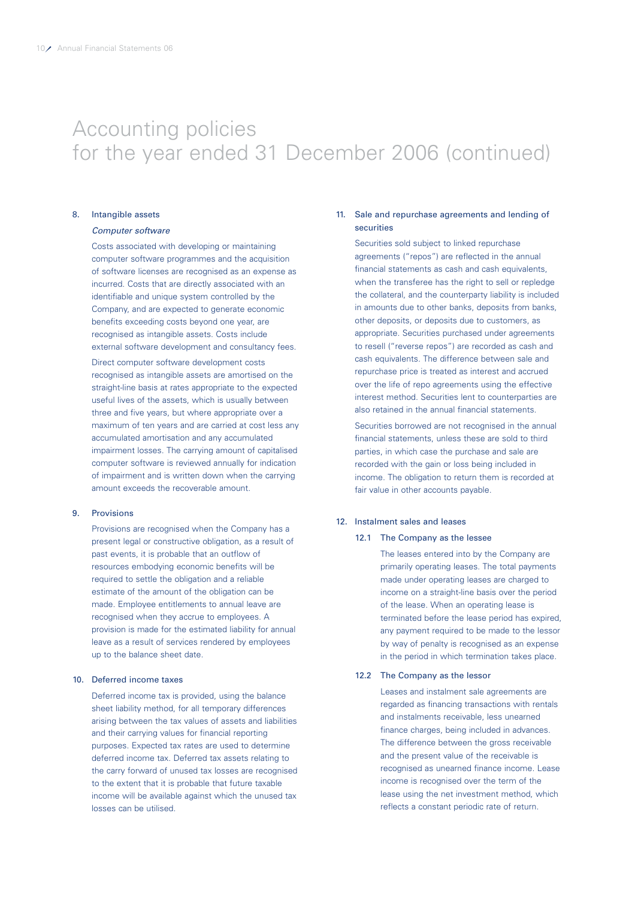### 8. Intangible assets

### Computer software

Costs associated with developing or maintaining computer software programmes and the acquisition of software licenses are recognised as an expense as incurred. Costs that are directly associated with an identifiable and unique system controlled by the Company, and are expected to generate economic benefits exceeding costs beyond one year, are recognised as intangible assets. Costs include external software development and consultancy fees.

Direct computer software development costs recognised as intangible assets are amortised on the straight-line basis at rates appropriate to the expected useful lives of the assets, which is usually between three and five years, but where appropriate over a maximum of ten years and are carried at cost less any accumulated amortisation and any accumulated impairment losses. The carrying amount of capitalised computer software is reviewed annually for indication of impairment and is written down when the carrying amount exceeds the recoverable amount.

#### 9. Provisions

Provisions are recognised when the Company has a present legal or constructive obligation, as a result of past events, it is probable that an outflow of resources embodying economic benefits will be required to settle the obligation and a reliable estimate of the amount of the obligation can be made. Employee entitlements to annual leave are recognised when they accrue to employees. A provision is made for the estimated liability for annual leave as a result of services rendered by employees up to the balance sheet date.

#### 10. Deferred income taxes

Deferred income tax is provided, using the balance sheet liability method, for all temporary differences arising between the tax values of assets and liabilities and their carrying values for financial reporting purposes. Expected tax rates are used to determine deferred income tax. Deferred tax assets relating to the carry forward of unused tax losses are recognised to the extent that it is probable that future taxable income will be available against which the unused tax losses can be utilised.

### 11. Sale and repurchase agreements and lending of securities

Securities sold subject to linked repurchase agreements ("repos") are reflected in the annual financial statements as cash and cash equivalents, when the transferee has the right to sell or repledge the collateral, and the counterparty liability is included in amounts due to other banks, deposits from banks, other deposits, or deposits due to customers, as appropriate. Securities purchased under agreements to resell ("reverse repos") are recorded as cash and cash equivalents. The difference between sale and repurchase price is treated as interest and accrued over the life of repo agreements using the effective interest method. Securities lent to counterparties are also retained in the annual financial statements.

Securities borrowed are not recognised in the annual financial statements, unless these are sold to third parties, in which case the purchase and sale are recorded with the gain or loss being included in income. The obligation to return them is recorded at fair value in other accounts payable.

### 12. Instalment sales and leases

#### 12.1 The Company as the lessee

The leases entered into by the Company are primarily operating leases. The total payments made under operating leases are charged to income on a straight-line basis over the period of the lease. When an operating lease is terminated before the lease period has expired, any payment required to be made to the lessor by way of penalty is recognised as an expense in the period in which termination takes place.

#### 12.2 The Company as the lessor

Leases and instalment sale agreements are regarded as financing transactions with rentals and instalments receivable, less unearned finance charges, being included in advances. The difference between the gross receivable and the present value of the receivable is recognised as unearned finance income. Lease income is recognised over the term of the lease using the net investment method, which reflects a constant periodic rate of return.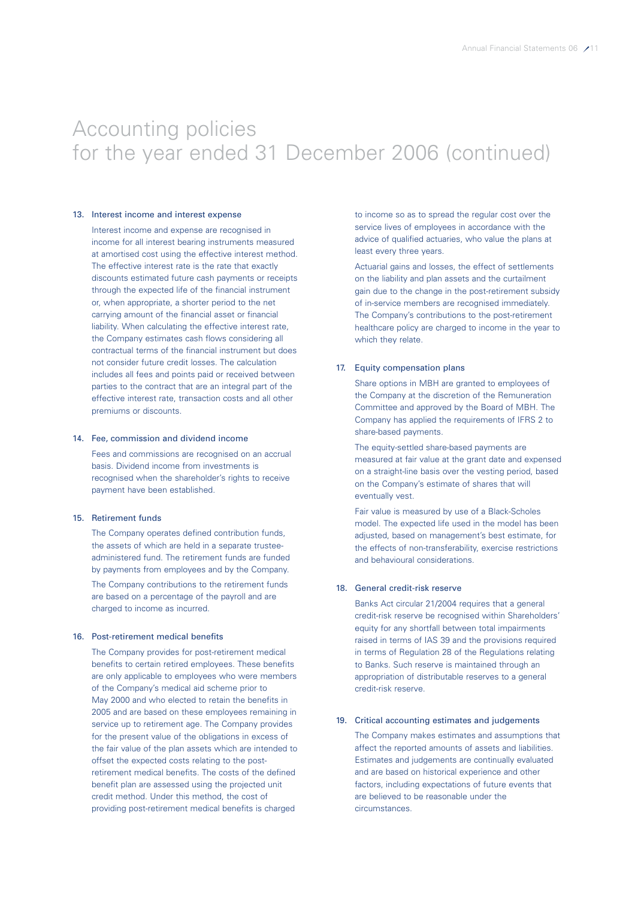#### 13. Interest income and interest expense

Interest income and expense are recognised in income for all interest bearing instruments measured at amortised cost using the effective interest method. The effective interest rate is the rate that exactly discounts estimated future cash payments or receipts through the expected life of the financial instrument or, when appropriate, a shorter period to the net carrying amount of the financial asset or financial liability. When calculating the effective interest rate, the Company estimates cash flows considering all contractual terms of the financial instrument but does not consider future credit losses. The calculation includes all fees and points paid or received between parties to the contract that are an integral part of the effective interest rate, transaction costs and all other premiums or discounts.

#### 14. Fee, commission and dividend income

Fees and commissions are recognised on an accrual basis. Dividend income from investments is recognised when the shareholder's rights to receive payment have been established.

#### 15. Retirement funds

The Company operates defined contribution funds, the assets of which are held in a separate trusteeadministered fund. The retirement funds are funded by payments from employees and by the Company.

The Company contributions to the retirement funds are based on a percentage of the payroll and are charged to income as incurred.

#### 16. Post-retirement medical benefits

The Company provides for post-retirement medical benefits to certain retired employees. These benefits are only applicable to employees who were members of the Company's medical aid scheme prior to May 2000 and who elected to retain the benefits in 2005 and are based on these employees remaining in service up to retirement age. The Company provides for the present value of the obligations in excess of the fair value of the plan assets which are intended to offset the expected costs relating to the postretirement medical benefits. The costs of the defined benefit plan are assessed using the projected unit credit method. Under this method, the cost of providing post-retirement medical benefits is charged

to income so as to spread the regular cost over the service lives of employees in accordance with the advice of qualified actuaries, who value the plans at least every three years.

Actuarial gains and losses, the effect of settlements on the liability and plan assets and the curtailment gain due to the change in the post-retirement subsidy of in-service members are recognised immediately. The Company's contributions to the post-retirement healthcare policy are charged to income in the year to which they relate.

#### 17. Equity compensation plans

Share options in MBH are granted to employees of the Company at the discretion of the Remuneration Committee and approved by the Board of MBH. The Company has applied the requirements of IFRS 2 to share-based payments.

The equity-settled share-based payments are measured at fair value at the grant date and expensed on a straight-line basis over the vesting period, based on the Company's estimate of shares that will eventually vest.

Fair value is measured by use of a Black-Scholes model. The expected life used in the model has been adjusted, based on management's best estimate, for the effects of non-transferability, exercise restrictions and behavioural considerations.

#### 18. General credit-risk reserve

Banks Act circular 21/2004 requires that a general credit-risk reserve be recognised within Shareholders' equity for any shortfall between total impairments raised in terms of IAS 39 and the provisions required in terms of Regulation 28 of the Regulations relating to Banks. Such reserve is maintained through an appropriation of distributable reserves to a general credit-risk reserve.

#### 19. Critical accounting estimates and judgements

The Company makes estimates and assumptions that affect the reported amounts of assets and liabilities. Estimates and judgements are continually evaluated and are based on historical experience and other factors, including expectations of future events that are believed to be reasonable under the circumstances.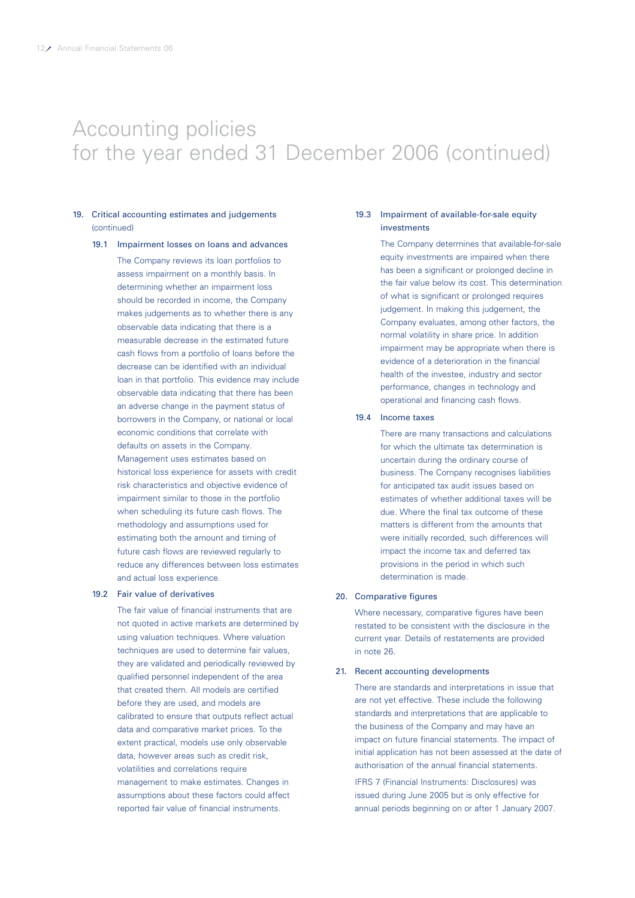# 19. Critical accounting estimates and judgements (continued)

19.1 Impairment losses on loans and advances

The Company reviews its loan portfolios to assess impairment on a monthly basis. In determining whether an impairment loss should be recorded in income, the Company makes judgements as to whether there is any observable data indicating that there is a measurable decrease in the estimated future cash flows from a portfolio of loans before the decrease can be identified with an individual loan in that portfolio. This evidence may include observable data indicating that there has been an adverse change in the payment status of borrowers in the Company, or national or local economic conditions that correlate with defaults on assets in the Company. Management uses estimates based on historical loss experience for assets with credit risk characteristics and objective evidence of impairment similar to those in the portfolio when scheduling its future cash flows. The methodology and assumptions used for estimating both the amount and timing of future cash flows are reviewed regularly to reduce any differences between loss estimates and actual loss experience.

# 19.2 Fair value of derivatives

The fair value of financial instruments that are not quoted in active markets are determined by using valuation techniques. Where valuation techniques are used to determine fair values, they are validated and periodically reviewed by qualified personnel independent of the area that created them. All models are certified before they are used, and models are calibrated to ensure that outputs reflect actual data and comparative market prices. To the extent practical, models use only observable data, however areas such as credit risk, volatilities and correlations require management to make estimates. Changes in assumptions about these factors could affect reported fair value of financial instruments.

### 19.3 Impairment of available-for-sale equity investments

The Company determines that available-for-sale equity investments are impaired when there has been a significant or prolonged decline in the fair value below its cost. This determination of what is significant or prolonged requires judgement. In making this judgement, the Company evaluates, among other factors, the normal volatility in share price. In addition impairment may be appropriate when there is evidence of a deterioration in the financial health of the investee, industry and sector performance, changes in technology and operational and financing cash flows.

#### 19.4 Income taxes

There are many transactions and calculations for which the ultimate tax determination is uncertain during the ordinary course of business. The Company recognises liabilities for anticipated tax audit issues based on estimates of whether additional taxes will be due. Where the final tax outcome of these matters is different from the amounts that were initially recorded, such differences will impact the income tax and deferred tax provisions in the period in which such determination is made.

### 20. Comparative figures

Where necessary, comparative figures have been restated to be consistent with the disclosure in the current year. Details of restatements are provided in note 26.

### 21. Recent accounting developments

There are standards and interpretations in issue that are not yet effective. These include the following standards and interpretations that are applicable to the business of the Company and may have an impact on future financial statements. The impact of initial application has not been assessed at the date of authorisation of the annual financial statements.

IFRS 7 (Financial Instruments: Disclosures) was issued during June 2005 but is only effective for annual periods beginning on or after 1 January 2007.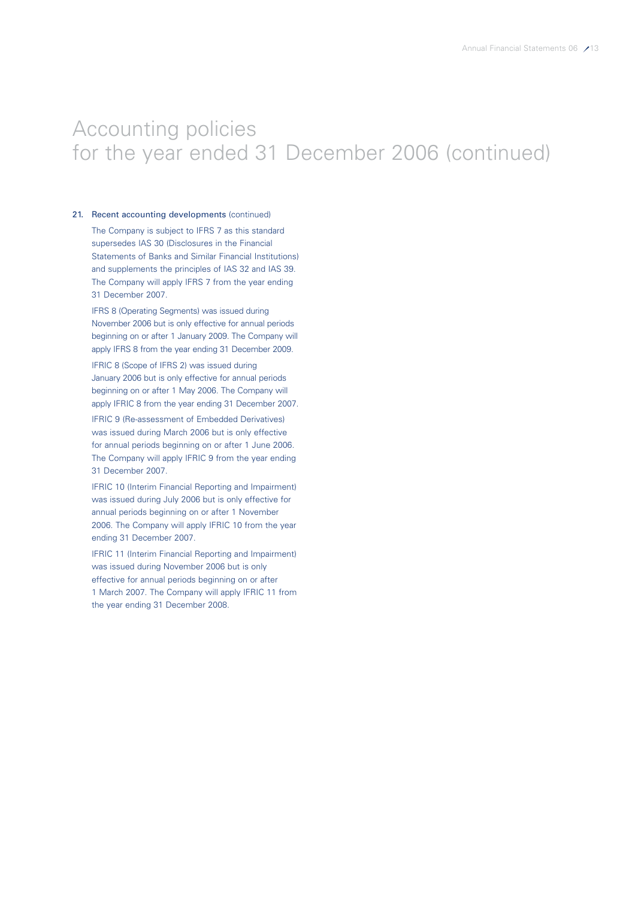### 21. Recent accounting developments (continued)

The Company is subject to IFRS 7 as this standard supersedes IAS 30 (Disclosures in the Financial Statements of Banks and Similar Financial Institutions) and supplements the principles of IAS 32 and IAS 39. The Company will apply IFRS 7 from the year ending 31 December 2007.

IFRS 8 (Operating Segments) was issued during November 2006 but is only effective for annual periods beginning on or after 1 January 2009. The Company will apply IFRS 8 from the year ending 31 December 2009.

IFRIC 8 (Scope of IFRS 2) was issued during January 2006 but is only effective for annual periods beginning on or after 1 May 2006. The Company will apply IFRIC 8 from the year ending 31 December 2007.

IFRIC 9 (Re-assessment of Embedded Derivatives) was issued during March 2006 but is only effective for annual periods beginning on or after 1 June 2006. The Company will apply IFRIC 9 from the year ending 31 December 2007.

IFRIC 10 (Interim Financial Reporting and Impairment) was issued during July 2006 but is only effective for annual periods beginning on or after 1 November 2006. The Company will apply IFRIC 10 from the year ending 31 December 2007.

IFRIC 11 (Interim Financial Reporting and Impairment) was issued during November 2006 but is only effective for annual periods beginning on or after 1 March 2007. The Company will apply IFRIC 11 from the year ending 31 December 2008.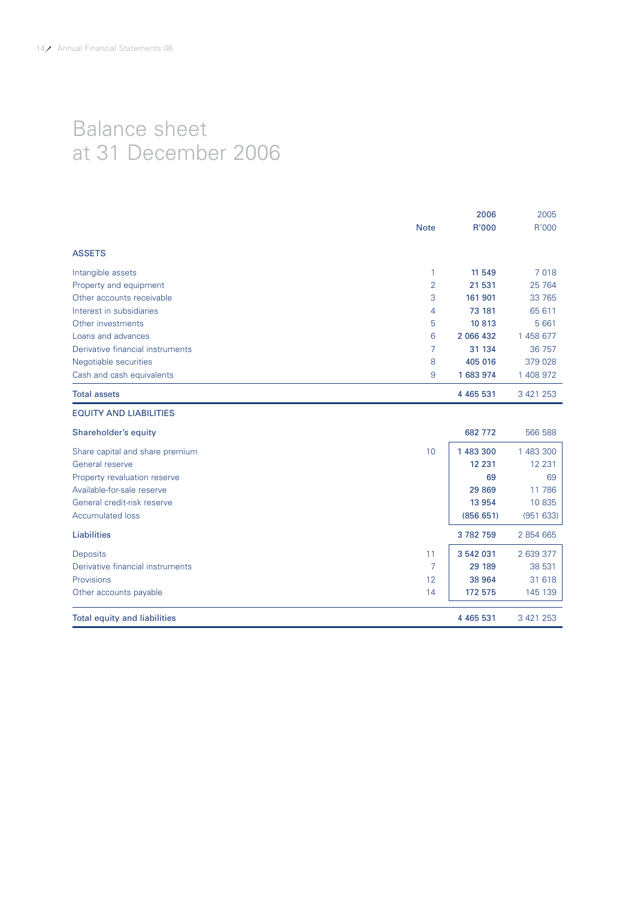# Balance sheet at 31 December 2006

|                | 2006          | 2005          |
|----------------|---------------|---------------|
| <b>Note</b>    | R'000         | R'000         |
|                |               |               |
|                | 11 549        | 7018          |
| $\overline{2}$ | 21 531        | 25 7 64       |
| 3              | 161 901       | 33 765        |
| 4              | 73 181        | 65 611        |
| 5              | 10 8 13       | 5 6 6 1       |
| 6              | 2 066 432     | 1 458 677     |
| 7              | 31 134        | 36 757        |
| 8              | 405 016       | 379 028       |
| 9              | 1 683 974     | 1 408 972     |
|                | 4 4 6 5 5 3 1 | 3 4 2 1 2 5 3 |
|                |               |               |

# EQUITY AND LIABILITIES

| Shareholder's equity                  | 682 772       | 566 588   |
|---------------------------------------|---------------|-----------|
| 10<br>Share capital and share premium | 1 483 300     | 1 483 300 |
| General reserve                       | 12 2 31       | 12 2 31   |
| Property revaluation reserve          | 69            | 69        |
| Available-for-sale reserve            | 29 869        | 11 786    |
| General credit-risk reserve           | 13 9 54       | 10 835    |
| <b>Accumulated loss</b>               | (856651)      | (951633)  |
| Liabilities                           | 3782759       | 2 854 665 |
| 11<br><b>Deposits</b>                 | 3 542 031     | 2 639 377 |
| Derivative financial instruments      | 29 189        | 38 531    |
| Provisions<br>12                      | 38 964        | 31 618    |
| 14<br>Other accounts payable          | 172 575       | 145 139   |
| Total equity and liabilities          | 4 4 6 5 5 3 1 | 3 421 253 |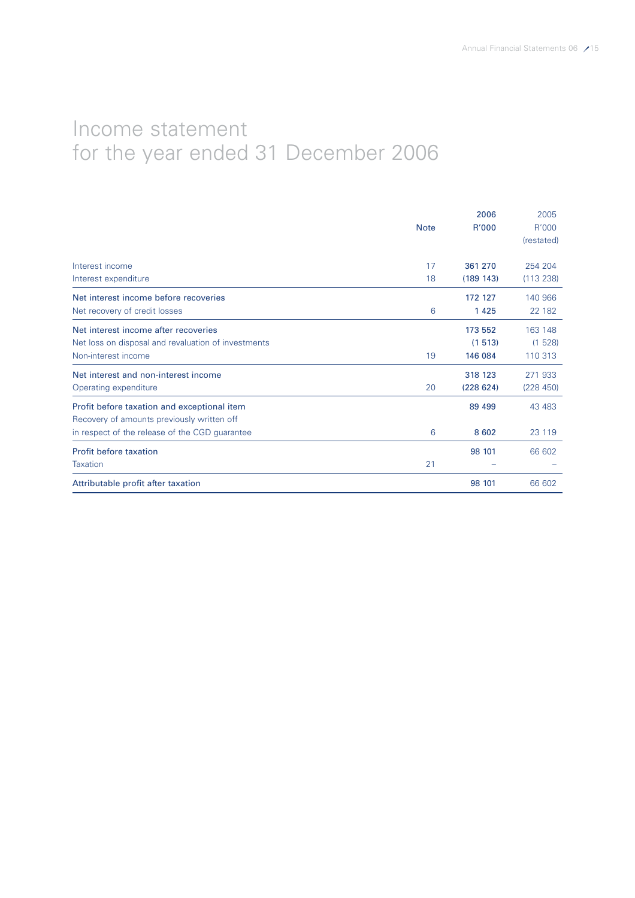# Income statement for the year ended 31 December 2006

|                                                     |             | 2006      | 2005       |
|-----------------------------------------------------|-------------|-----------|------------|
|                                                     | <b>Note</b> | R'000     | R'000      |
|                                                     |             |           | (restated) |
| Interest income                                     | 17          | 361 270   | 254 204    |
| Interest expenditure                                | 18          | (189 143) | (113 238)  |
| Net interest income before recoveries               |             | 172 127   | 140 966    |
| Net recovery of credit losses                       | 6           | 1425      | 22 182     |
| Net interest income after recoveries                |             | 173 552   | 163 148    |
| Net loss on disposal and revaluation of investments |             | (1513)    | (1528)     |
| Non-interest income                                 | 19          | 146 084   | 110 313    |
| Net interest and non-interest income                |             | 318 123   | 271933     |
| Operating expenditure                               | 20          | (228624)  | (228 450)  |
| Profit before taxation and exceptional item         |             | 89 499    | 43 483     |
| Recovery of amounts previously written off          |             |           |            |
| in respect of the release of the CGD guarantee      | 6           | 8 6 0 2   | 23 119     |
| Profit before taxation                              |             | 98 101    | 66 602     |
| <b>Taxation</b>                                     | 21          |           |            |
| Attributable profit after taxation                  |             | 98 101    | 66 602     |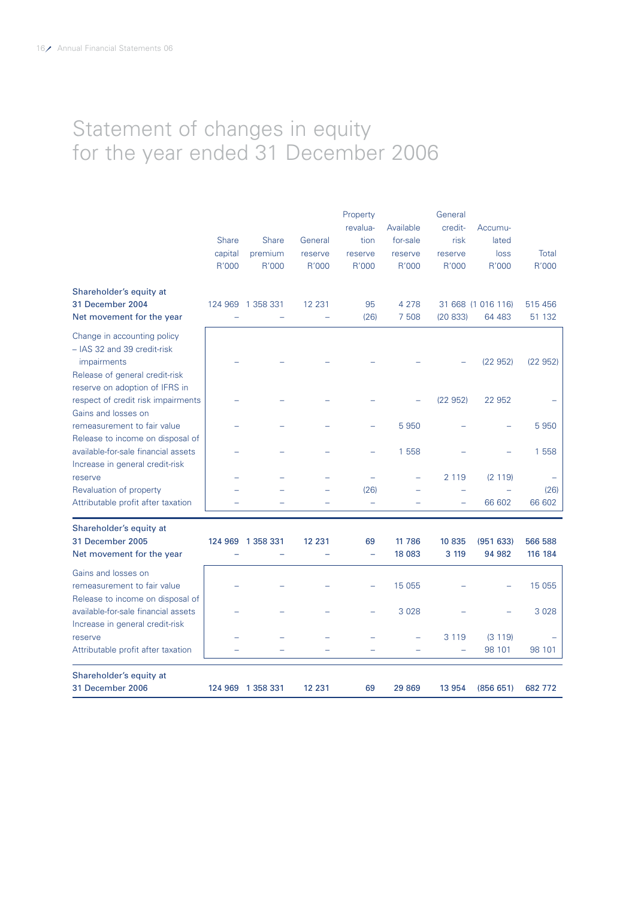# Statement of changes in equity for the year ended 31 December 2006

|                                                                                                                                               | <b>Share</b><br>capital<br>R'000 | <b>Share</b><br>premium<br>R'000 | General<br>reserve<br>R'000 | Property<br>revalua-<br>tion<br>reserve<br>R'000 | Available<br>for-sale<br>reserve<br>R'000 | General<br>credit-<br>risk<br>reserve<br>R'000 | Accumu-<br>lated<br>loss<br>R'000 | Total<br>R'000     |
|-----------------------------------------------------------------------------------------------------------------------------------------------|----------------------------------|----------------------------------|-----------------------------|--------------------------------------------------|-------------------------------------------|------------------------------------------------|-----------------------------------|--------------------|
| Shareholder's equity at<br>31 December 2004<br>Net movement for the year                                                                      | 124 969                          | 1 358 331                        | 12 2 31                     | 95<br>(26)                                       | 4 2 7 8<br>7 508                          | (20833)                                        | 31 668 (1 016 116)<br>64 483      | 515 456<br>51 132  |
| Change in accounting policy<br>- IAS 32 and 39 credit-risk<br>impairments<br>Release of general credit-risk<br>reserve on adoption of IFRS in |                                  |                                  |                             |                                                  |                                           |                                                | (22952)                           | (22952)            |
| respect of credit risk impairments<br>Gains and losses on                                                                                     |                                  |                                  |                             |                                                  |                                           | (22952)                                        | 22 952                            |                    |
| remeasurement to fair value<br>Release to income on disposal of                                                                               |                                  |                                  |                             |                                                  | 5950                                      |                                                |                                   | 5950               |
| available-for-sale financial assets<br>Increase in general credit-risk                                                                        |                                  |                                  |                             |                                                  | 1 5 5 8                                   |                                                |                                   | 1 5 5 8            |
| reserve<br>Revaluation of property<br>Attributable profit after taxation                                                                      |                                  |                                  |                             | (26)<br>$\overline{\phantom{a}}$                 |                                           | 2 1 1 9                                        | (2119)<br>66 602                  | (26)<br>66 602     |
| Shareholder's equity at<br>31 December 2005<br>Net movement for the year                                                                      | 124 969                          | 1 358 331                        | 12 231                      | 69<br>$\equiv$                                   | 11 786<br>18 083                          | 10 835<br>3 119                                | (951633)<br>94 982                | 566 588<br>116 184 |
| Gains and losses on<br>remeasurement to fair value<br>Release to income on disposal of                                                        |                                  |                                  |                             |                                                  | 15 0 55                                   |                                                |                                   | 15 0 55            |
| available-for-sale financial assets<br>Increase in general credit-risk                                                                        |                                  |                                  |                             |                                                  | 3 0 2 8                                   |                                                |                                   | 3 0 2 8            |
| reserve<br>Attributable profit after taxation                                                                                                 |                                  |                                  |                             |                                                  |                                           | 3 1 1 9                                        | (3119)<br>98 101                  | 98 101             |
| Shareholder's equity at<br>31 December 2006                                                                                                   |                                  | 124 969 1 358 331                | 12 231                      | 69                                               | 29 869                                    | 13 9 54                                        | (856651)                          | 682 772            |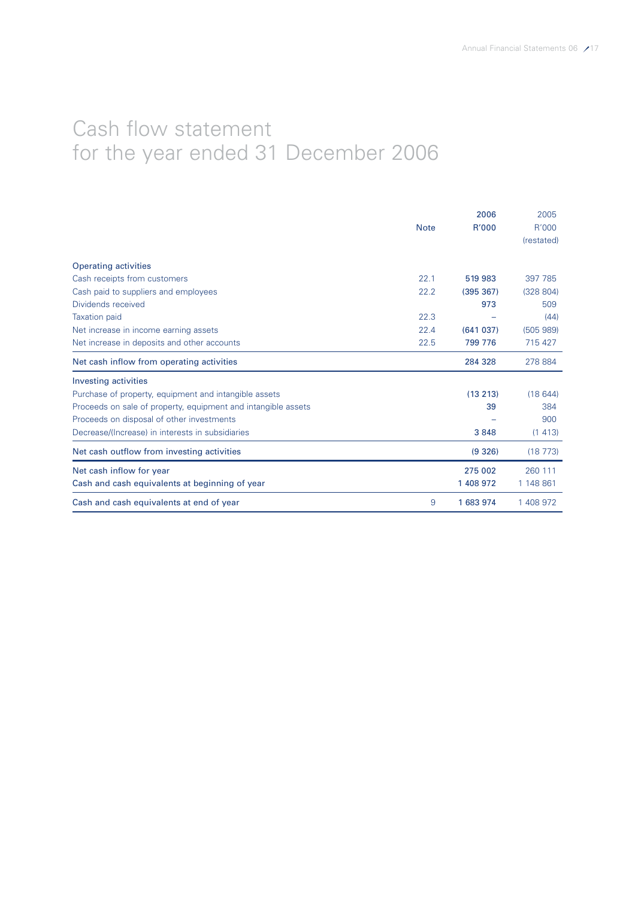# Cash flow statement for the year ended 31 December 2006

|                                                               |             | 2006      | 2005       |
|---------------------------------------------------------------|-------------|-----------|------------|
|                                                               | <b>Note</b> | R'000     | R'000      |
|                                                               |             |           | (restated) |
| <b>Operating activities</b>                                   |             |           |            |
| Cash receipts from customers                                  | 22.1        | 519 983   | 397 785    |
| Cash paid to suppliers and employees                          | 22.2        | (395 367) | (328804)   |
| Dividends received                                            |             | 973       | 509        |
| <b>Taxation paid</b>                                          | 22.3        |           | (44)       |
| Net increase in income earning assets                         | 22.4        | (641037)  | (505989)   |
| Net increase in deposits and other accounts                   | 22.5        | 799 776   | 715 427    |
| Net cash inflow from operating activities                     |             | 284 328   | 278 884    |
| Investing activities                                          |             |           |            |
| Purchase of property, equipment and intangible assets         |             | (13213)   | (18644)    |
| Proceeds on sale of property, equipment and intangible assets |             | 39        | 384        |
| Proceeds on disposal of other investments                     |             |           | 900        |
| Decrease/(Increase) in interests in subsidiaries              |             | 3848      | (1413)     |
| Net cash outflow from investing activities                    |             | (9326)    | (18773)    |
| Net cash inflow for year                                      |             | 275 002   | 260 111    |
| Cash and cash equivalents at beginning of year                |             | 1 408 972 | 1 148 861  |
| Cash and cash equivalents at end of year                      | 9           | 1 683 974 | 1 408 972  |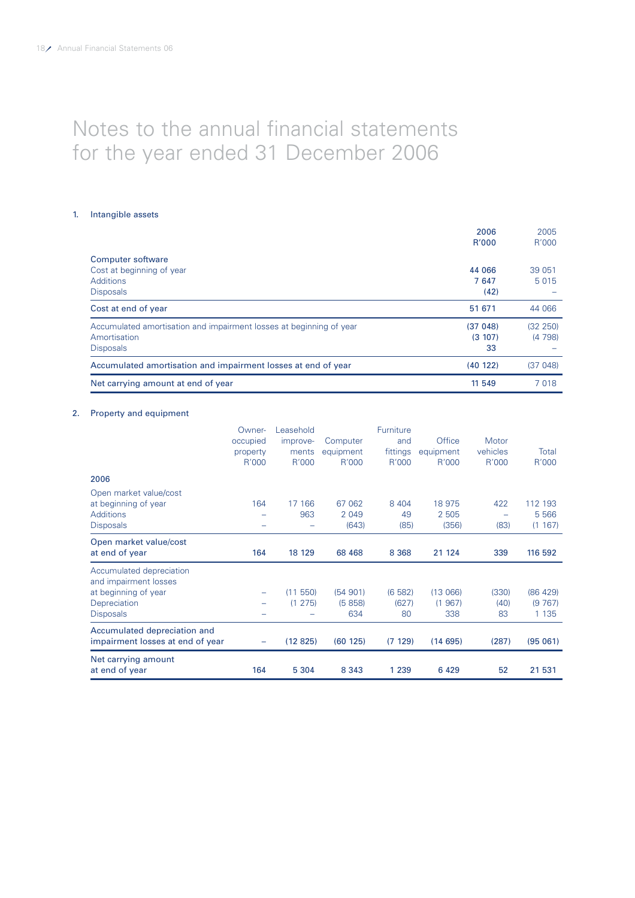# Notes to the annual financial statements for the year ended 31 December 2006

# 1. Intangible assets

|                                                                     | 2006         | 2005     |
|---------------------------------------------------------------------|--------------|----------|
|                                                                     | <b>R'000</b> | R'000    |
| <b>Computer software</b>                                            |              |          |
| Cost at beginning of year                                           | 44 066       | 39 051   |
| <b>Additions</b>                                                    | 7647         | 5015     |
| <b>Disposals</b>                                                    | (42)         |          |
| Cost at end of year                                                 | 51 671       | 44 066   |
| Accumulated amortisation and impairment losses at beginning of year | (37048)      | (32 250) |
| Amortisation                                                        | (3 107)      | (4798)   |
| <b>Disposals</b>                                                    | 33           |          |
| Accumulated amortisation and impairment losses at end of year       | (40122)      | (37048)  |
| Net carrying amount at end of year                                  | 11 549       | 7018     |

### 2. Property and equipment

|                                                                                           | Owner-<br>occupied<br>property<br>R'000 | Leasehold<br>improve-<br>ments<br>R'000 | Computer<br>equipment<br>R'000 | Furniture<br>and<br>fittings<br>R'000 | Office<br>equipment<br>R'000 | Motor<br>vehicles<br>R'000 | Total<br>R'000               |
|-------------------------------------------------------------------------------------------|-----------------------------------------|-----------------------------------------|--------------------------------|---------------------------------------|------------------------------|----------------------------|------------------------------|
| 2006                                                                                      |                                         |                                         |                                |                                       |                              |                            |                              |
| Open market value/cost<br>at beginning of year<br><b>Additions</b><br><b>Disposals</b>    | 164                                     | 17 166<br>963                           | 67 062<br>2 0 4 9<br>(643)     | 8 4 0 4<br>49<br>(85)                 | 18 975<br>2 5 0 5<br>(356)   | 422<br>(83)                | 112 193<br>5 5 6 6<br>(1167) |
| Open market value/cost<br>at end of year                                                  | 164                                     | 18 129                                  | 68 4 68                        | 8 3 6 8                               | 21 124                       | 339                        | 116 592                      |
| Accumulated depreciation<br>and impairment losses<br>at beginning of year<br>Depreciation |                                         | (11 550)<br>275)<br>(1)                 | (54901)<br>(5858)              | (6582)<br>(627)                       | (13066)<br>(1967)            | (330)<br>(40)              | (86 429)<br>(9767)           |
| <b>Disposals</b>                                                                          |                                         |                                         | 634                            | 80                                    | 338                          | 83                         | 1 1 3 5                      |
| Accumulated depreciation and<br>impairment losses at end of year                          |                                         | (12825)                                 | (60125)                        | (7129)                                | (14695)                      | (287)                      | (95061)                      |
| Net carrying amount<br>at end of year                                                     | 164                                     | 5 3 0 4                                 | 8 3 4 3                        | 1 2 3 9                               | 6 4 2 9                      | 52                         | 21 531                       |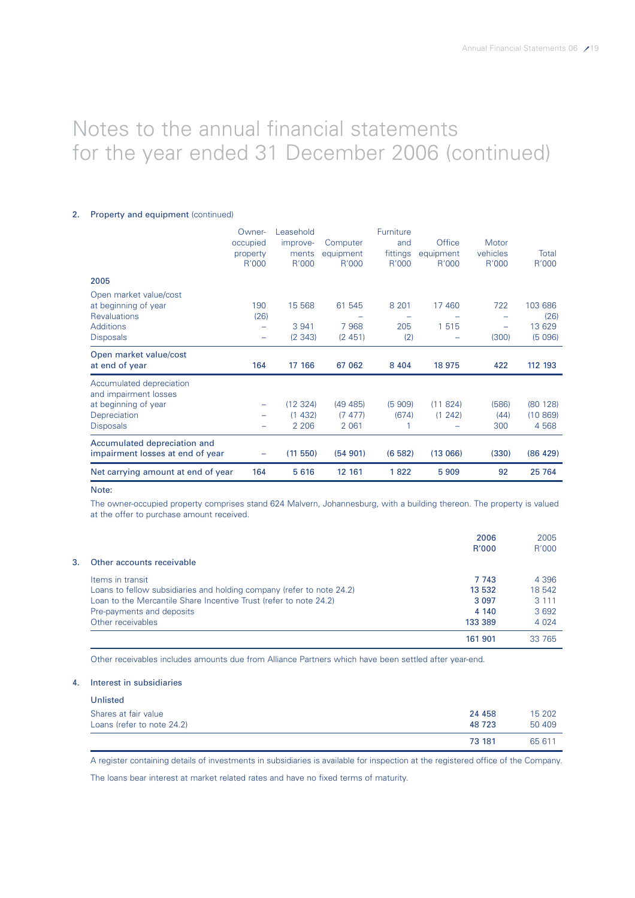### 2. Property and equipment (continued)

|                                    | Owner-   | Leasehold |           | Furniture |           |          |          |
|------------------------------------|----------|-----------|-----------|-----------|-----------|----------|----------|
|                                    | occupied | improve-  | Computer  | and       | Office    | Motor    |          |
|                                    | property | ments     | equipment | fittings  | equipment | vehicles | Total    |
|                                    | R'000    | R'000     | R'000     | R'000     | R'000     | R'000    | R'000    |
| 2005                               |          |           |           |           |           |          |          |
| Open market value/cost             |          |           |           |           |           |          |          |
| at beginning of year               | 190      | 15 568    | 61 545    | 8 2 0 1   | 17 460    | 722      | 103 686  |
| <b>Revaluations</b>                | (26)     |           |           |           |           |          | (26)     |
| <b>Additions</b>                   | -        | 3 9 4 1   | 7968      | 205       | 1515      | -        | 13 629   |
| <b>Disposals</b>                   | -        | (2 343)   | (2, 451)  | (2)       |           | (300)    | (5096)   |
| Open market value/cost             |          |           |           |           |           |          |          |
| at end of year                     | 164      | 17 166    | 67 062    | 8 4 0 4   | 18 975    | 422      | 112 193  |
| Accumulated depreciation           |          |           |           |           |           |          |          |
| and impairment losses              |          |           |           |           |           |          |          |
| at beginning of year               |          | (12 324)  | (49 485)  | (5909)    | (11824)   | (586)    | (80128)  |
| Depreciation                       |          | (1432)    | (7477)    | (674)     | (1 242)   | (44)     | (10869)  |
| <b>Disposals</b>                   |          | 2 2 0 6   | 2 0 6 1   |           |           | 300      | 4 5 6 8  |
| Accumulated depreciation and       |          |           |           |           |           |          |          |
| impairment losses at end of year   |          | (11 550)  | (54901)   | (6582)    | (13066)   | (330)    | (86 429) |
| Net carrying amount at end of year | 164      | 5616      | 12 161    | 1822      | 5 9 0 9   | 92       | 25 7 64  |

### Note:

The owner-occupied property comprises stand 624 Malvern, Johannesburg, with a building thereon. The property is valued at the offer to purchase amount received.

|    |                                                                       | 2006<br><b>R'000</b> | 2005<br>R'000 |
|----|-----------------------------------------------------------------------|----------------------|---------------|
| 3. | Other accounts receivable                                             |                      |               |
|    | Items in transit                                                      | 7 743                | 4 3 9 6       |
|    | Loans to fellow subsidiaries and holding company (refer to note 24.2) | 13 532               | 18 542        |
|    | Loan to the Mercantile Share Incentive Trust (refer to note 24.2)     | 3 0 9 7              | 3 1 1 1       |
|    | Pre-payments and deposits                                             | 4 140                | 3692          |
|    | Other receivables                                                     | 133 389              | 4 0 2 4       |
|    |                                                                       | 161 901              | 33 765        |

Other receivables includes amounts due from Alliance Partners which have been settled after year-end.

# 4. Interest in subsidiaries

| Unlisted                   |         |        |
|----------------------------|---------|--------|
| Shares at fair value       | 24 458  | 15 202 |
| Loans (refer to note 24.2) | 48 7 23 | 50 409 |
|                            | 73 181  | 65 611 |

A register containing details of investments in subsidiaries is available for inspection at the registered office of the Company.

The loans bear interest at market related rates and have no fixed terms of maturity.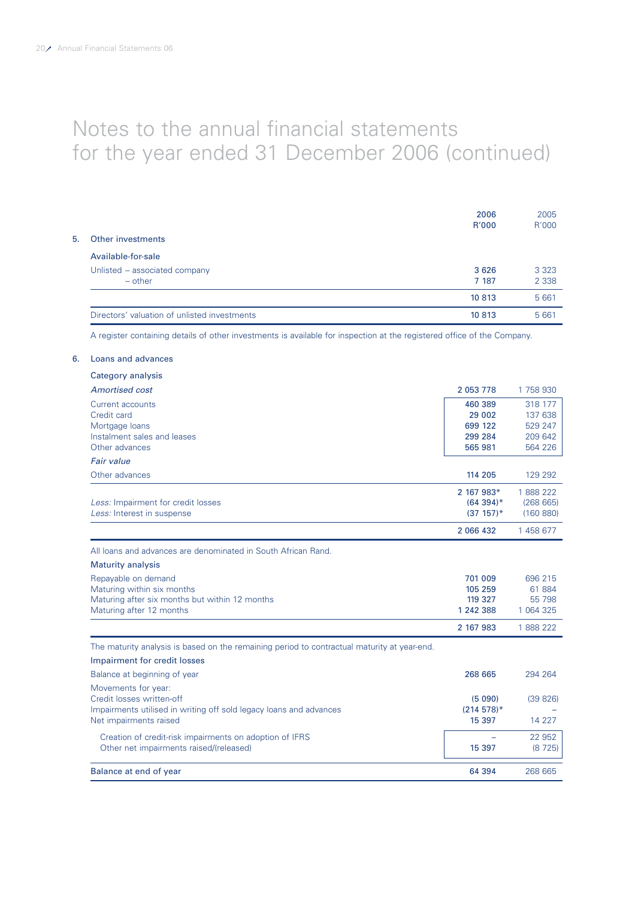| Other investments<br>5.                      | 2006<br>R'000 | 2005<br>R'000      |
|----------------------------------------------|---------------|--------------------|
| Available-for-sale                           |               |                    |
| Unlisted - associated company<br>$-$ other   | 3626<br>7 187 | 3 3 2 3<br>2 3 3 8 |
|                                              | 10 813        | 5 6 6 1            |
| Directors' valuation of unlisted investments | 10 813        | 5 6 6 1            |

A register containing details of other investments is available for inspection at the registered office of the Company.

#### 6. Loans and advances

| Category analysis                                                                           |              |           |
|---------------------------------------------------------------------------------------------|--------------|-----------|
| <b>Amortised cost</b>                                                                       | 2 053 778    | 1758930   |
| Current accounts                                                                            | 460 389      | 318 177   |
| Credit card                                                                                 | 29 002       | 137 638   |
| Mortgage loans                                                                              | 699 122      | 529 247   |
| Instalment sales and leases                                                                 | 299 284      | 209 642   |
| Other advances                                                                              | 565 981      | 564 226   |
| <b>Fair value</b>                                                                           |              |           |
| Other advances                                                                              | 114 205      | 129 292   |
|                                                                                             | 2 167 983*   | 1888222   |
| Less: Impairment for credit losses                                                          | $(64394)^*$  | (268665)  |
| Less: Interest in suspense                                                                  | $(37 157)^*$ | (160 880) |
|                                                                                             | 2 066 432    | 1 458 677 |
| All loans and advances are denominated in South African Rand.                               |              |           |
| <b>Maturity analysis</b>                                                                    |              |           |
| Repayable on demand                                                                         | 701 009      | 696 215   |
| Maturing within six months                                                                  | 105 259      | 61 884    |
| Maturing after six months but within 12 months                                              | 119 327      | 55 798    |
| Maturing after 12 months                                                                    | 1 242 388    | 1 064 325 |
|                                                                                             | 2 167 983    | 1888222   |
| The maturity analysis is based on the remaining period to contractual maturity at year-end. |              |           |
| Impairment for credit losses                                                                |              |           |
| Balance at beginning of year                                                                | 268 665      | 294 264   |
| Movements for year:                                                                         |              |           |
| Credit losses written-off                                                                   | (5090)       | (39826)   |
| Impairments utilised in writing off sold legacy loans and advances                          | $(214578)^*$ |           |
| Net impairments raised                                                                      | 15 397       | 14 2 2 7  |
| Creation of credit-risk impairments on adoption of IFRS                                     |              | 22 952    |
| Other net impairments raised/(released)                                                     | 15 397       | (8725)    |
| Balance at end of year                                                                      | 64 394       | 268 665   |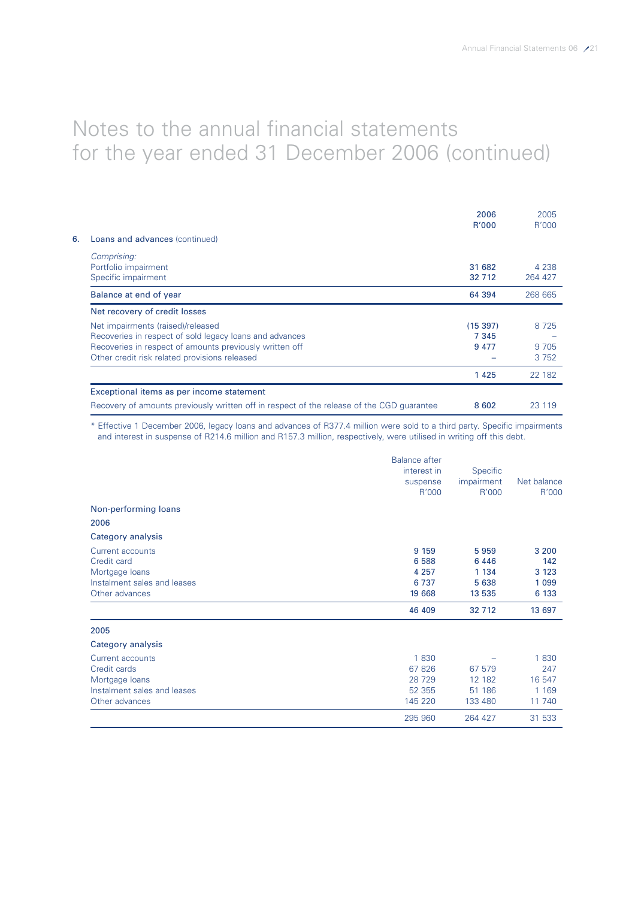|                                                                                           | 2006<br><b>R'000</b> | 2005<br>R'000 |
|-------------------------------------------------------------------------------------------|----------------------|---------------|
| <b>Loans and advances (continued)</b>                                                     |                      |               |
| Comprising:                                                                               |                      |               |
| Portfolio impairment                                                                      | 31 682               | 4 2 3 8       |
| Specific impairment                                                                       | 32 7 12              | 264 427       |
| Balance at end of year                                                                    | 64 394               | 268 665       |
| Net recovery of credit losses                                                             |                      |               |
| Net impairments (raised)/released                                                         | (15397)              | 8 7 2 5       |
| Recoveries in respect of sold legacy loans and advances                                   | 7 345                |               |
| Recoveries in respect of amounts previously written off                                   | 9477                 | 9 7 0 5       |
| Other credit risk related provisions released                                             |                      | 3 7 5 2       |
|                                                                                           | 1425                 | 22 182        |
| Exceptional items as per income statement                                                 |                      |               |
| Recovery of amounts previously written off in respect of the release of the CGD quarantee | 8 6 0 2              | 23 119        |

\* Effective 1 December 2006, legacy loans and advances of R377.4 million were sold to a third party. Specific impairments and interest in suspense of R214.6 million and R157.3 million, respectively, were utilised in writing off this debt.

|                               | <b>Balance after</b><br>interest in<br>suspense<br>R'000 | Specific<br>impairment<br>R'000 | Net balance<br>R'000 |
|-------------------------------|----------------------------------------------------------|---------------------------------|----------------------|
| Non-performing loans          |                                                          |                                 |                      |
| 2006                          |                                                          |                                 |                      |
| Category analysis             |                                                          |                                 |                      |
| Current accounts              | 9 1 5 9                                                  | 5959                            | 3 2 0 0              |
| Credit card<br>Mortgage loans | 6588<br>4 2 5 7                                          | 6446<br>1 1 3 4                 | 142<br>3 1 2 3       |
| Instalment sales and leases   | 6737                                                     | 5 6 3 8                         | 1 0 9 9              |
| Other advances                | 19 668                                                   | 13 535                          | 6 133                |
|                               | 46 409                                                   | 32 7 12                         | 13 697               |
| 2005                          |                                                          |                                 |                      |
| Category analysis             |                                                          |                                 |                      |
| Current accounts              | 1830                                                     |                                 | 1830                 |
| Credit cards                  | 67826                                                    | 67 579                          | 247                  |
| Mortgage loans                | 28 7 29                                                  | 12 182                          | 16 547               |
| Instalment sales and leases   | 52 355                                                   | 51 186                          | 1 1 6 9              |
| Other advances                | 145 220                                                  | 133 480                         | 11 740               |
|                               | 295 960                                                  | 264 427                         | 31 533               |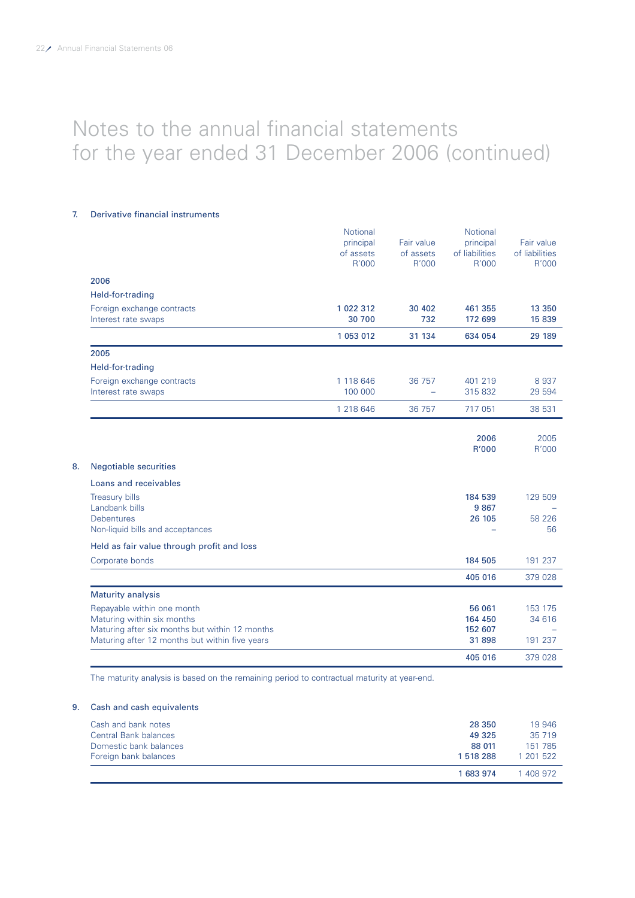### 7. Derivative financial instruments

|                                                                                                            | Notional<br>principal<br>of assets<br>R'000 | Fair value<br>of assets<br>R'000 | Notional<br>principal<br>of liabilities<br>R'000 | Fair value<br>of liabilities<br>R'000 |
|------------------------------------------------------------------------------------------------------------|---------------------------------------------|----------------------------------|--------------------------------------------------|---------------------------------------|
| 2006                                                                                                       |                                             |                                  |                                                  |                                       |
| Held-for-trading                                                                                           |                                             |                                  |                                                  |                                       |
| Foreign exchange contracts<br>Interest rate swaps                                                          | 1 022 312<br>30 700                         | 30 402<br>732                    | 461 355<br>172 699                               | 13 350<br>15 839                      |
|                                                                                                            | 1 053 012                                   | 31 134                           | 634 054                                          | 29 189                                |
| 2005                                                                                                       |                                             |                                  |                                                  |                                       |
| Held-for-trading                                                                                           |                                             |                                  |                                                  |                                       |
| Foreign exchange contracts<br>Interest rate swaps                                                          | 1 118 646<br>100 000                        | 36 757                           | 401 219<br>315 832                               | 8937<br>29 5 94                       |
|                                                                                                            | 1 218 646                                   | 36 757                           | 717 051                                          | 38 531                                |
| <b>Negotiable securities</b>                                                                               |                                             |                                  | <b>R'000</b>                                     | R'000                                 |
| Loans and receivables                                                                                      |                                             |                                  |                                                  |                                       |
| <b>Treasury bills</b><br>Landbank bills<br><b>Debentures</b><br>Non-liquid bills and acceptances           |                                             |                                  | 184 539<br>9867<br>26 10 5                       | 129 509<br>58 2 26<br>56              |
| Held as fair value through profit and loss                                                                 |                                             |                                  |                                                  |                                       |
| Corporate bonds                                                                                            |                                             |                                  | 184 505                                          | 191 237                               |
|                                                                                                            |                                             |                                  | 405 016                                          | 379 028                               |
| <b>Maturity analysis</b>                                                                                   |                                             |                                  |                                                  |                                       |
| Repayable within one month<br>Maturing within six months<br>Maturing after six months but within 12 months |                                             |                                  | 56 061<br>164 450<br>152 607                     | 153 175<br>34 616                     |
| Maturing after 12 months but within five years                                                             |                                             |                                  | 31898<br>405 016                                 | 191 237<br>379 028                    |

The maturity analysis is based on the remaining period to contractual maturity at year-end.

# 9. Cash and cash equivalents

| Cash and bank notes<br>Central Bank balances<br>Domestic bank balances | 28 350<br>49 325<br>88 011 | 19 946<br>35 719<br>151 785 |
|------------------------------------------------------------------------|----------------------------|-----------------------------|
| Foreign bank balances                                                  | 1 518 288                  | 1 201 522                   |
|                                                                        | 1683974                    | 1408972                     |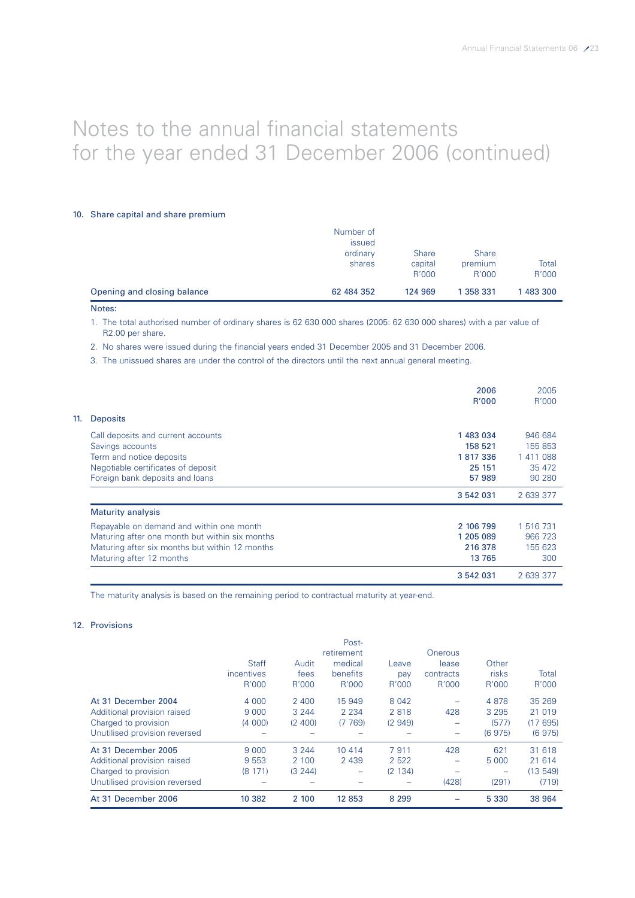### 10. Share capital and share premium

| Opening and closing balance | 62 484 352                      | 124 969          | 1 358 331        | 1 483 300      |
|-----------------------------|---------------------------------|------------------|------------------|----------------|
|                             | shares                          | capital<br>R'000 | premium<br>R'000 | Total<br>R'000 |
|                             | Number of<br>issued<br>ordinary | <b>Share</b>     | <b>Share</b>     |                |

### Notes:

1. The total authorised number of ordinary shares is 62 630 000 shares (2005: 62 630 000 shares) with a par value of R2.00 per share.

2. No shares were issued during the financial years ended 31 December 2005 and 31 December 2006.

3. The unissued shares are under the control of the directors until the next annual general meeting.

|                                                | 2006<br>R'000 | 2005<br>R'000 |
|------------------------------------------------|---------------|---------------|
| <b>Deposits</b><br>11.                         |               |               |
| Call deposits and current accounts             | 1 483 034     | 946 684       |
| Savings accounts                               | 158 521       | 155 853       |
| Term and notice deposits                       | 1817336       | 1411088       |
| Negotiable certificates of deposit             | 25 151        | 35 472        |
| Foreign bank deposits and loans                | 57 989        | 90 280        |
|                                                | 3 542 031     | 2 639 377     |
| <b>Maturity analysis</b>                       |               |               |
| Repayable on demand and within one month       | 2 106 799     | 1 516 731     |
| Maturing after one month but within six months | 1 205 089     | 966 723       |
| Maturing after six months but within 12 months | 216 378       | 155 623       |
| Maturing after 12 months                       | 13 765        | 300           |
|                                                | 3 542 031     | 2 639 377     |

The maturity analysis is based on the remaining period to contractual maturity at year-end.

#### 12. Provisions

| At 31 December 2006           | 10 382       | 2 100    | 12 8 53    | 8 2 9 9 |           | 5 3 3 0 | 38 964  |
|-------------------------------|--------------|----------|------------|---------|-----------|---------|---------|
| Unutilised provision reversed |              |          |            |         | (428)     | (291)   | (719)   |
| Charged to provision          | (8171)       | (3, 244) | -          | (2 134) |           | -       | (13549) |
| Additional provision raised   | 9 5 5 3      | 2 100    | 2 4 3 9    | 2522    | -         | 5 0 0 0 | 21 614  |
| At 31 December 2005           | 9 0 0 0      | 3 2 4 4  | 10 4 14    | 7911    | 428       | 621     | 31 618  |
| Unutilised provision reversed |              |          |            |         | -         | (6975)  | (6975)  |
| Charged to provision          | (4000)       | (2, 400) | (7769)     | (2949)  | -         | (577)   | (17695) |
| Additional provision raised   | 9 0 0 0      | 3 2 4 4  | 2 2 3 4    | 2818    | 428       | 3 2 9 5 | 21 0 19 |
| At 31 December 2004           | 4 0 0 0      | 2 400    | 15 949     | 8 0 4 2 |           | 4878    | 35 269  |
|                               | R'000        | R'000    | R'000      | R'000   | R'000     | R'000   | R'000   |
|                               | incentives   | fees     | benefits   | pay     | contracts | risks   | Total   |
|                               | <b>Staff</b> | Audit    | medical    | Leave   | lease     | Other   |         |
|                               |              |          | retirement |         | Onerous   |         |         |
|                               |              |          | Post-      |         |           |         |         |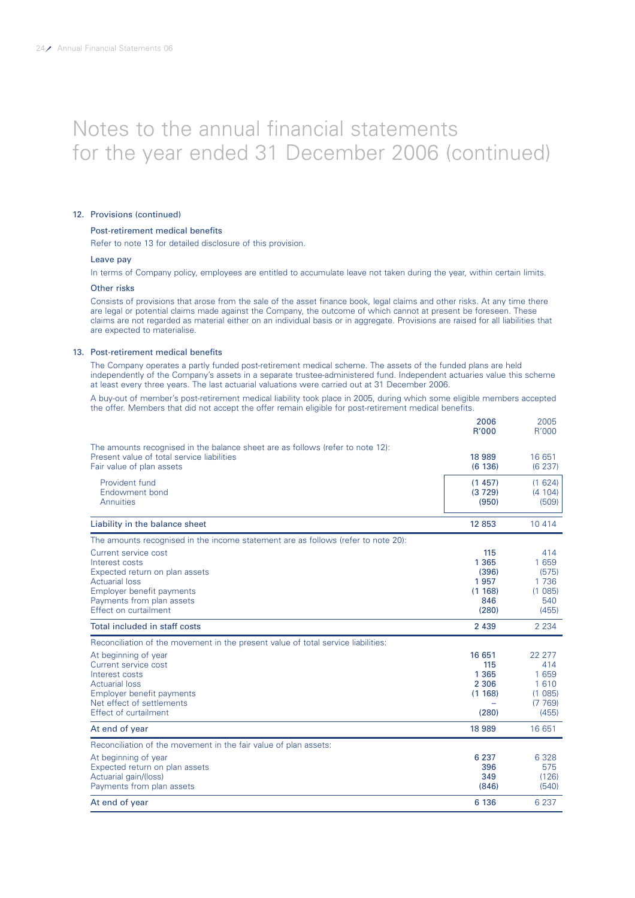### 12. Provisions (continued)

### Post-retirement medical benefits

Refer to note 13 for detailed disclosure of this provision.

#### Leave pay

In terms of Company policy, employees are entitled to accumulate leave not taken during the year, within certain limits.

# Other risks

Consists of provisions that arose from the sale of the asset finance book, legal claims and other risks. At any time there are legal or potential claims made against the Company, the outcome of which cannot at present be foreseen. These claims are not regarded as material either on an individual basis or in aggregate. Provisions are raised for all liabilities that are expected to materialise.

#### 13. Post-retirement medical benefits

The Company operates a partly funded post-retirement medical scheme. The assets of the funded plans are held independently of the Company's assets in a separate trustee-administered fund. Independent actuaries value this scheme at least every three years. The last actuarial valuations were carried out at 31 December 2006.

A buy-out of member's post-retirement medical liability took place in 2005, during which some eligible members accepted the offer. Members that did not accept the offer remain eligible for post-retirement medical benefits.

|                                                                                                                                                                                      | 2006<br>R'000                                             | 2005<br>R'000                                                 |
|--------------------------------------------------------------------------------------------------------------------------------------------------------------------------------------|-----------------------------------------------------------|---------------------------------------------------------------|
| The amounts recognised in the balance sheet are as follows (refer to note 12):<br>Present value of total service liabilities<br>Fair value of plan assets                            | 18 989<br>(6136)                                          | 16 651<br>(6237)                                              |
| Provident fund<br>Endowment bond<br>Annuities                                                                                                                                        | (1457)<br>(3729)<br>(950)                                 | (1624)<br>(4104)<br>(509)                                     |
| Liability in the balance sheet                                                                                                                                                       | 12 853                                                    | 10 4 14                                                       |
| The amounts recognised in the income statement are as follows (refer to note 20):                                                                                                    |                                                           |                                                               |
| Current service cost<br>Interest costs<br>Expected return on plan assets<br><b>Actuarial loss</b><br>Employer benefit payments<br>Payments from plan assets<br>Effect on curtailment | 115<br>1 3 6 5<br>(396)<br>1957<br>(1168)<br>846<br>(280) | 414<br>1 6 5 9<br>(575)<br>1 7 3 6<br>(1085)<br>540<br>(455)  |
| Total included in staff costs                                                                                                                                                        | 2 4 3 9                                                   | 2 2 3 4                                                       |
| Reconciliation of the movement in the present value of total service liabilities:                                                                                                    |                                                           |                                                               |
| At beginning of year<br>Current service cost<br>Interest costs<br><b>Actuarial loss</b><br>Employer benefit payments<br>Net effect of settlements<br>Effect of curtailment           | 16 651<br>115<br>1 3 6 5<br>2 3 0 6<br>(1168)<br>(280)    | 22 277<br>414<br>1 6 5 9<br>1610<br>(1085)<br>(7769)<br>(455) |
| At end of year                                                                                                                                                                       | 18 989                                                    | 16 651                                                        |
| Reconciliation of the movement in the fair value of plan assets:                                                                                                                     |                                                           |                                                               |
| At beginning of year<br>Expected return on plan assets<br>Actuarial gain/(loss)<br>Payments from plan assets                                                                         | 6 2 3 7<br>396<br>349<br>(846)                            | 6 3 2 8<br>575<br>(126)<br>(540)                              |
| At end of year                                                                                                                                                                       | 6 136                                                     | 6 2 3 7                                                       |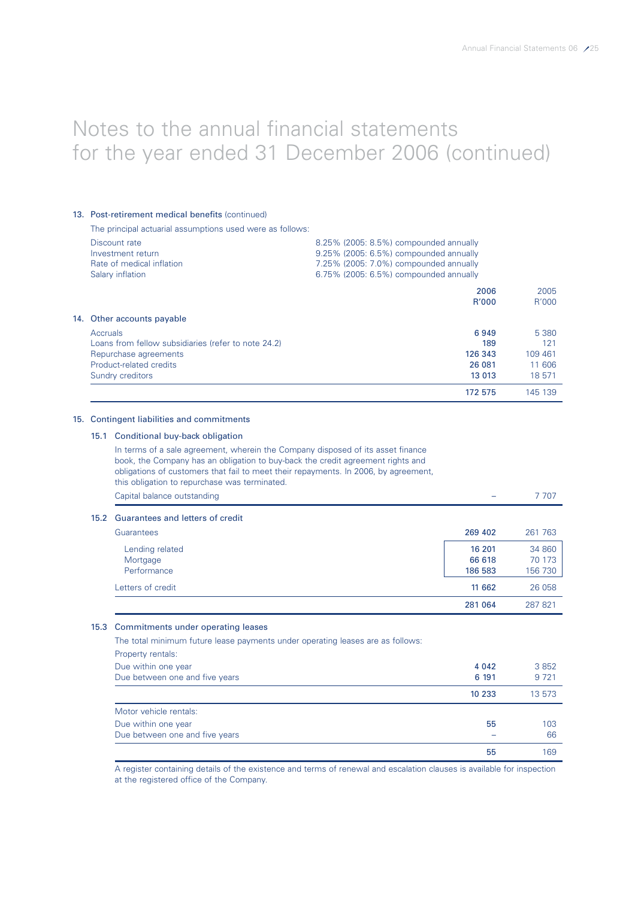# 13. Post-retirement medical benefits (continued)

The principal actuarial assumptions used were as follows:

|                                                     | 172 575                                | 145 139 |
|-----------------------------------------------------|----------------------------------------|---------|
| Sundry creditors                                    | 13 013                                 | 18 571  |
| Product-related credits                             | 26 081                                 | 11 606  |
| Repurchase agreements                               | 126 343                                | 109 461 |
| Loans from fellow subsidiaries (refer to note 24.2) | 189                                    | 121     |
| Accruals                                            | 6949                                   | 5 3 8 0 |
| 14. Other accounts payable                          |                                        |         |
|                                                     | <b>R'000</b>                           | R'000   |
|                                                     | 2006                                   | 2005    |
| Salary inflation                                    | 6.75% (2005: 6.5%) compounded annually |         |
| Rate of medical inflation                           | 7.25% (2005: 7.0%) compounded annually |         |
| Investment return                                   | 9.25% (2005: 6.5%) compounded annually |         |
| Discount rate                                       | 8.25% (2005: 8.5%) compounded annually |         |
|                                                     |                                        |         |

### 15. Contingent liabilities and commitments

### 15.1 Conditional buy-back obligation

In terms of a sale agreement, wherein the Company disposed of its asset finance book, the Company has an obligation to buy-back the credit agreement rights and obligations of customers that fail to meet their repayments. In 2006, by agreement, this obligation to repurchase was terminated.

Capital balance outstanding – 7 707 15.2 Guarantees and letters of credit Guarantees 269 402 261 763 Lending related 16 201 34 860 Mortgage 66 618 70 173 Performance 186 730 156 730 156 730 156 730 156 730 156 730 156 730 156 730 156 730 156 730 156 730 156 730 15 Letters of credit 11 662 26 058 281 064 287 821

# 15.3 Commitments under operating leases

The total minimum future lease payments under operating leases are as follows:

| Property rentals:              |         |         |
|--------------------------------|---------|---------|
| Due within one year            | 4 0 4 2 | 3852    |
| Due between one and five years | 6 191   | 9 7 2 1 |
|                                | 10 233  | 13 573  |
| Motor vehicle rentals:         |         |         |
| Due within one year            | 55      | 103     |
| Due between one and five years |         | 66      |
|                                |         |         |

A register containing details of the existence and terms of renewal and escalation clauses is available for inspection at the registered office of the Company.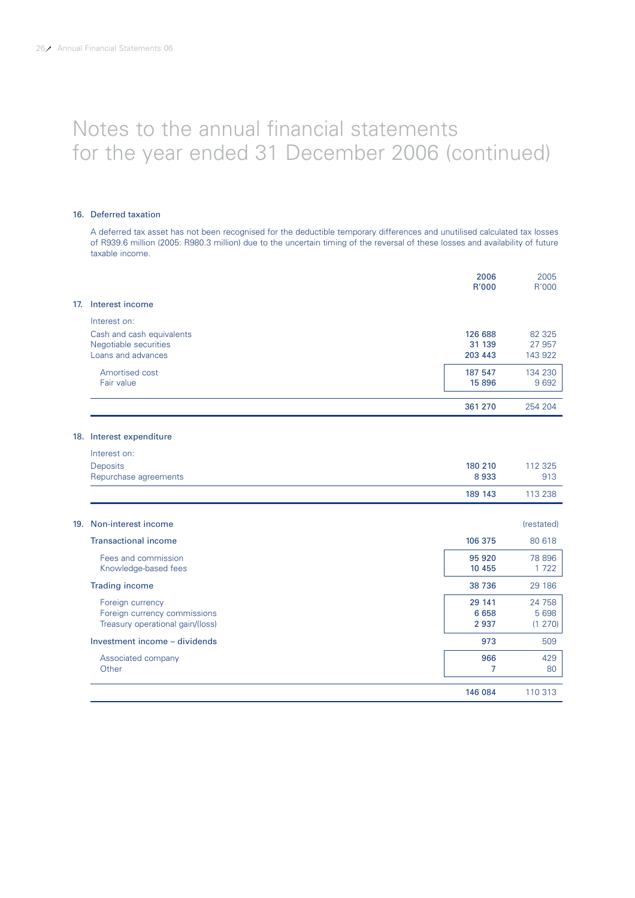#### 16. Deferred taxation

A deferred tax asset has not been recognised for the deductible temporary differences and unutilised calculated tax losses of R939.6 million (2005: R980.3 million) due to the uncertain timing of the reversal of these losses and availability of future taxable income.

| Interest income<br>17.<br>Interest on:<br>Cash and cash equivalents<br>Negotiable securities<br>Loans and advances<br>Amortised cost<br>Fair value | 126 688<br>31 139<br>203 443<br>187 547<br>15 896<br>361 270 | 82 3 25<br>27 957<br>143 922<br>134 230<br>9692 |
|----------------------------------------------------------------------------------------------------------------------------------------------------|--------------------------------------------------------------|-------------------------------------------------|
|                                                                                                                                                    |                                                              |                                                 |
|                                                                                                                                                    |                                                              |                                                 |
|                                                                                                                                                    |                                                              |                                                 |
| 18. Interest expenditure                                                                                                                           |                                                              | 254 204                                         |
|                                                                                                                                                    |                                                              |                                                 |
| Interest on:                                                                                                                                       |                                                              |                                                 |
| <b>Deposits</b>                                                                                                                                    | 180 210                                                      | 112 325                                         |
| Repurchase agreements                                                                                                                              | 8933                                                         | 913                                             |
|                                                                                                                                                    | 189 143                                                      | 113 238                                         |
| 19. Non-interest income                                                                                                                            |                                                              | (restated)                                      |
| <b>Transactional income</b>                                                                                                                        | 106 375                                                      | 80 618                                          |
| Fees and commission                                                                                                                                | 95 920                                                       | 78 896                                          |
| Knowledge-based fees                                                                                                                               | 10 455                                                       | 1722                                            |
| <b>Trading income</b>                                                                                                                              | 38 7 36                                                      | 29 18 6                                         |
| Foreign currency<br>Foreign currency commissions<br>Treasury operational gain/(loss)                                                               | 29 14 1<br>6 6 5 8<br>2937                                   | 24 758<br>5 6 9 8<br>(1 270)                    |
| Investment income - dividends                                                                                                                      | 973                                                          | 509                                             |
| Associated company<br>Other                                                                                                                        | 966<br>7                                                     | 429<br>80                                       |
|                                                                                                                                                    |                                                              |                                                 |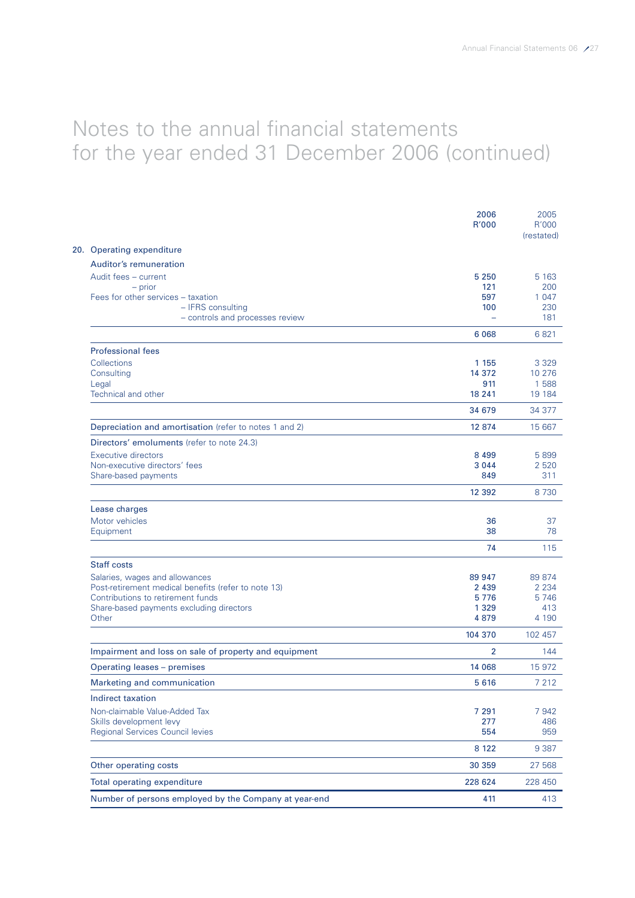|                                                                                       | 2006<br>R'000     | 2005<br>R'000<br>(restated) |
|---------------------------------------------------------------------------------------|-------------------|-----------------------------|
| 20. Operating expenditure                                                             |                   |                             |
| <b>Auditor's remuneration</b>                                                         |                   |                             |
| Audit fees - current                                                                  | 5 2 5 0           | 5 1 6 3                     |
| $-$ prior                                                                             | 121               | 200                         |
| Fees for other services - taxation                                                    | 597               | 1 0 4 7                     |
| - IFRS consulting<br>- controls and processes review                                  | 100               | 230<br>181                  |
|                                                                                       | 6 0 68            | 6821                        |
|                                                                                       |                   |                             |
| <b>Professional fees</b><br>Collections                                               | 1 1 5 5           | 3 3 2 9                     |
| Consulting                                                                            | 14 372            | 10 276                      |
| Legal                                                                                 | 911               | 1588                        |
| Technical and other                                                                   | 18 241            | 19 184                      |
|                                                                                       | 34 679            | 34 377                      |
| Depreciation and amortisation (refer to notes 1 and 2)                                | 12 874            | 15 667                      |
| Directors' emoluments (refer to note 24.3)                                            |                   |                             |
| <b>Executive directors</b>                                                            | 8 4 9 9           | 5899                        |
| Non-executive directors' fees                                                         | 3 0 4 4           | 2 5 2 0                     |
| Share-based payments                                                                  | 849               | 311                         |
|                                                                                       | 12 3 9 2          | 8730                        |
| Lease charges                                                                         |                   |                             |
| Motor vehicles                                                                        | 36                | 37                          |
| Equipment                                                                             | 38                | 78                          |
|                                                                                       | 74                | 115                         |
| <b>Staff costs</b>                                                                    |                   |                             |
| Salaries, wages and allowances<br>Post-retirement medical benefits (refer to note 13) | 89 947<br>2 4 3 9 | 89 874<br>2 2 3 4           |
| Contributions to retirement funds                                                     | 5776              | 5746                        |
| Share-based payments excluding directors                                              | 1 3 2 9           | 413                         |
| Other                                                                                 | 4 8 7 9           | 4 1 9 0                     |
|                                                                                       | 104 370           | 102 457                     |
| Impairment and loss on sale of property and equipment                                 | $\overline{2}$    | 144                         |
| Operating leases - premises                                                           | 14 068            | 15 972                      |
| Marketing and communication                                                           | 5616              | 7 2 1 2                     |
| <b>Indirect taxation</b>                                                              |                   |                             |
| Non-claimable Value-Added Tax                                                         | 7 291             | 7942                        |
| Skills development levy                                                               | 277               | 486                         |
| <b>Regional Services Council levies</b>                                               | 554               | 959                         |
|                                                                                       | 8 1 2 2           | 9 3 8 7                     |
| Other operating costs                                                                 | 30 359            | 27 568                      |
| <b>Total operating expenditure</b>                                                    | 228 624           | 228 450                     |
| Number of persons employed by the Company at year-end                                 | 411               | 413                         |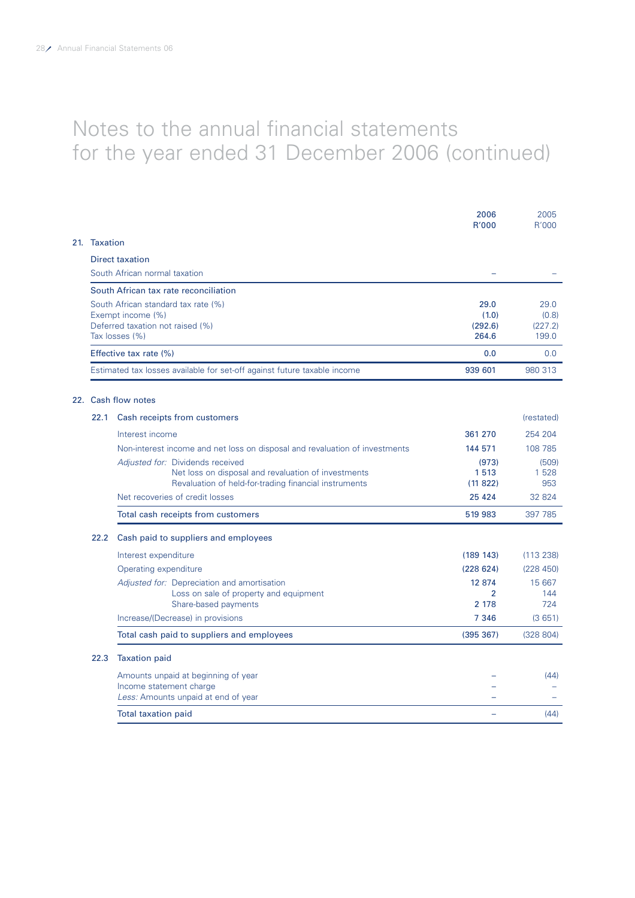|  |              |                                                                                          | 2006<br>R'000           | 2005<br>R'000    |
|--|--------------|------------------------------------------------------------------------------------------|-------------------------|------------------|
|  | 21. Taxation |                                                                                          |                         |                  |
|  |              | <b>Direct taxation</b>                                                                   |                         |                  |
|  |              | South African normal taxation                                                            |                         |                  |
|  |              | South African tax rate reconciliation                                                    |                         |                  |
|  |              | South African standard tax rate (%)                                                      | 29.0                    | 29.0             |
|  |              | Exempt income (%)<br>Deferred taxation not raised (%)                                    | (1.0)<br>(292.6)        | (0.8)<br>(227.2) |
|  |              | Tax losses (%)                                                                           | 264.6                   | 199.0            |
|  |              | Effective tax rate (%)                                                                   | 0.0                     | 0.0              |
|  |              | Estimated tax losses available for set-off against future taxable income                 | 939 601                 | 980 313          |
|  |              | 22. Cash flow notes                                                                      |                         |                  |
|  | 22.1         | Cash receipts from customers                                                             |                         | (restated)       |
|  |              | Interest income                                                                          | 361 270                 | 254 204          |
|  |              | Non-interest income and net loss on disposal and revaluation of investments              | 144 571                 | 108 785          |
|  |              | Adjusted for: Dividends received                                                         | (973)                   | (509)            |
|  |              | Net loss on disposal and revaluation of investments                                      | 1513                    | 1 5 2 8          |
|  |              | Revaluation of held-for-trading financial instruments<br>Net recoveries of credit losses | (11822)<br>25 4 24      | 953<br>32 824    |
|  |              |                                                                                          |                         |                  |
|  |              | Total cash receipts from customers                                                       | 519 983                 | 397 785          |
|  | 22.2         | Cash paid to suppliers and employees                                                     |                         |                  |
|  |              | Interest expenditure                                                                     | (189 143)               | (113 238)        |
|  |              | Operating expenditure                                                                    | (228624)                | (228 450)        |
|  |              | Adjusted for: Depreciation and amortisation                                              | 12 874                  | 15 667           |
|  |              | Loss on sale of property and equipment<br>Share-based payments                           | $\overline{2}$<br>2 178 | 144<br>724       |
|  |              | Increase/(Decrease) in provisions                                                        | 7 346                   | (3651)           |
|  |              | Total cash paid to suppliers and employees                                               | (395 367)               | (328804)         |
|  | 22.3         | <b>Taxation paid</b>                                                                     |                         |                  |
|  |              | Amounts unpaid at beginning of year                                                      |                         | (44)             |
|  |              | Income statement charge                                                                  |                         |                  |
|  |              | Less: Amounts unpaid at end of year                                                      |                         |                  |
|  |              | <b>Total taxation paid</b>                                                               |                         | (44)             |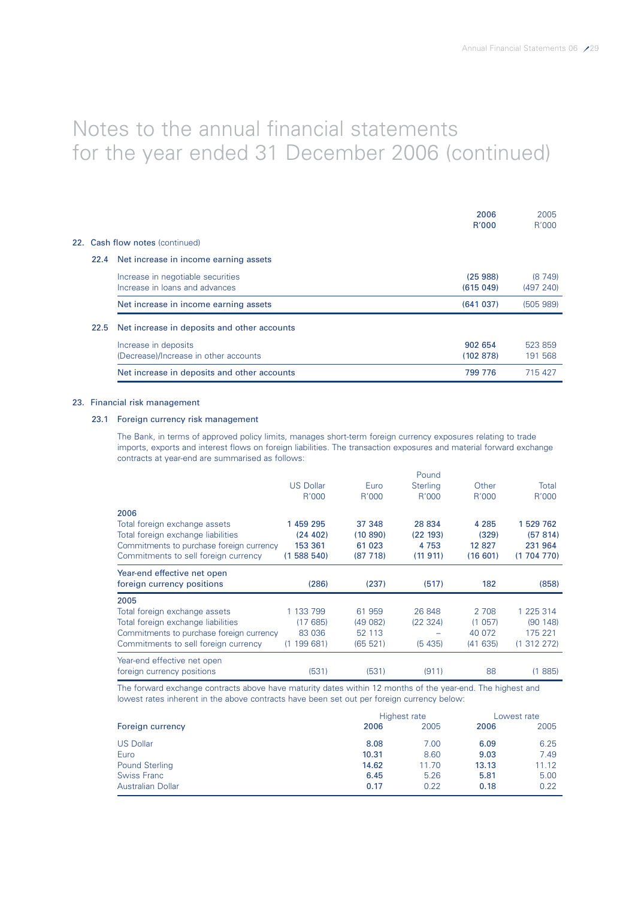|      | 22. Cash flow notes (continued)                                     | 2006<br><b>R'000</b> | 2005<br>R'000       |
|------|---------------------------------------------------------------------|----------------------|---------------------|
| 22.4 | Net increase in income earning assets                               |                      |                     |
|      | Increase in negotiable securities<br>Increase in loans and advances | (25988)<br>(615049)  | (8749)<br>(497 240) |
|      | Net increase in income earning assets                               | (641037)             | (505989)            |
| 22.5 | Net increase in deposits and other accounts                         |                      |                     |
|      | Increase in deposits<br>(Decrease)/Increase in other accounts       | 902 654<br>(102 878) | 523859<br>191 568   |
|      | Net increase in deposits and other accounts                         | 799 776              | 715 427             |

# 23. Financial risk management

### 23.1 Foreign currency risk management

The Bank, in terms of approved policy limits, manages short-term foreign currency exposures relating to trade imports, exports and interest flows on foreign liabilities. The transaction exposures and material forward exchange contracts at year-end are summarised as follows:

|                                          |                  |          | Pound           |          |           |
|------------------------------------------|------------------|----------|-----------------|----------|-----------|
|                                          | <b>US Dollar</b> | Euro     | <b>Sterling</b> | Other    | Total     |
|                                          | R'000            | R'000    | R'000           | R'000    | R'000     |
| 2006                                     |                  |          |                 |          |           |
| Total foreign exchange assets            | 1459295          | 37 348   | 28 834          | 4 2 8 5  | 1 529 762 |
| Total foreign exchange liabilities       | (24 402)         | (10890)  | (22 193)        | (329)    | (57814)   |
| Commitments to purchase foreign currency | 153 361          | 61 023   | 4753            | 12 827   | 231 964   |
| Commitments to sell foreign currency     | (1588540)        | (87 718) | (11 911)        | (16 601) | (1704770) |
| Year-end effective net open              |                  |          |                 |          |           |
|                                          |                  |          |                 |          |           |
| foreign currency positions               | (286)            | (237)    | (517)           | 182      | (858)     |
| 2005                                     |                  |          |                 |          |           |
| Total foreign exchange assets            | 1 133 799        | 61 959   | 26 848          | 2 708    | 1 225 314 |
| Total foreign exchange liabilities       | (17685)          | (49082)  | (22324)         | (1057)   | (90148)   |
| Commitments to purchase foreign currency | 83 036           | 52 113   |                 | 40 072   | 175 221   |
| Commitments to sell foreign currency     | (1199681)        | (65 521) | (5, 435)        | (41635)  | (1312272) |
| Year-end effective net open              |                  |          |                 |          |           |

The forward exchange contracts above have maturity dates within 12 months of the year-end. The highest and lowest rates inherent in the above contracts have been set out per foreign currency below:

|                          | Highest rate |       |       | Lowest rate |  |
|--------------------------|--------------|-------|-------|-------------|--|
| Foreign currency         | 2006         | 2005  | 2006  | 2005        |  |
| <b>US Dollar</b>         | 8.08         | 7.00  | 6.09  | 6.25        |  |
| Euro                     | 10.31        | 8.60  | 9.03  | 7.49        |  |
| <b>Pound Sterling</b>    | 14.62        | 11.70 | 13.13 | 11.12       |  |
| <b>Swiss Franc</b>       | 6.45         | 5.26  | 5.81  | 5.00        |  |
| <b>Australian Dollar</b> | 0.17         | 0.22  | 0.18  | 0.22        |  |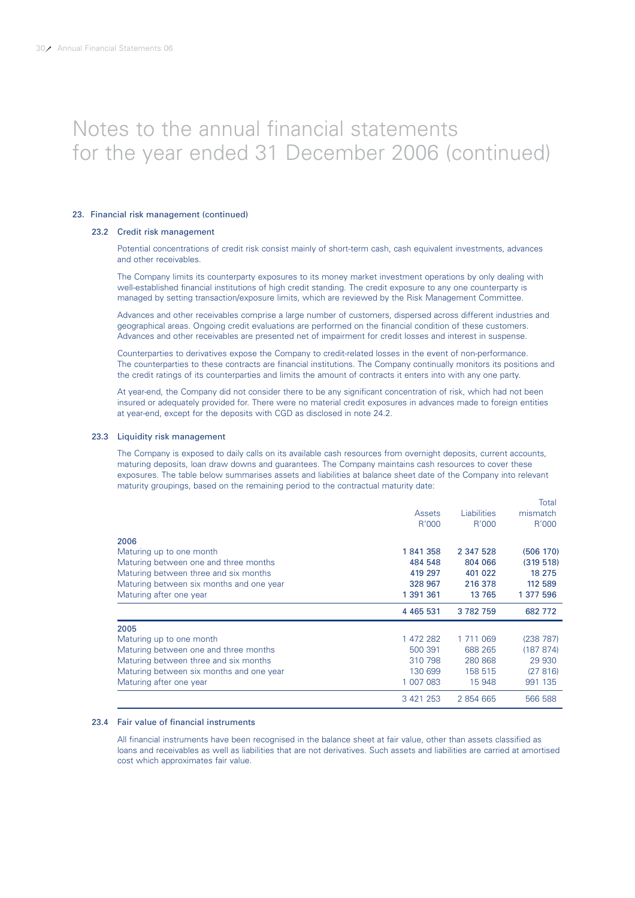#### 23. Financial risk management (continued)

#### 23.2 Credit risk management

Potential concentrations of credit risk consist mainly of short-term cash, cash equivalent investments, advances and other receivables.

The Company limits its counterparty exposures to its money market investment operations by only dealing with well-established financial institutions of high credit standing. The credit exposure to any one counterparty is managed by setting transaction/exposure limits, which are reviewed by the Risk Management Committee.

Advances and other receivables comprise a large number of customers, dispersed across different industries and geographical areas. Ongoing credit evaluations are performed on the financial condition of these customers. Advances and other receivables are presented net of impairment for credit losses and interest in suspense.

Counterparties to derivatives expose the Company to credit-related losses in the event of non-performance. The counterparties to these contracts are financial institutions. The Company continually monitors its positions and the credit ratings of its counterparties and limits the amount of contracts it enters into with any one party.

At year-end, the Company did not consider there to be any significant concentration of risk, which had not been insured or adequately provided for. There were no material credit exposures in advances made to foreign entities at year-end, except for the deposits with CGD as disclosed in note 24.2.

#### 23.3 Liquidity risk management

The Company is exposed to daily calls on its available cash resources from overnight deposits, current accounts, maturing deposits, loan draw downs and guarantees. The Company maintains cash resources to cover these exposures. The table below summarises assets and liabilities at balance sheet date of the Company into relevant maturity groupings, based on the remaining period to the contractual maturity date:

|                                          |               |               | Total     |
|------------------------------------------|---------------|---------------|-----------|
|                                          | Assets        | Liabilities   | mismatch  |
|                                          | R'000         | R'000         | R'000     |
| 2006                                     |               |               |           |
| Maturing up to one month                 | 1841358       | 2 347 528     | (506 170) |
| Maturing between one and three months    | 484 548       | 804 066       | (319 518) |
| Maturing between three and six months    | 419 297       | 401 022       | 18 275    |
| Maturing between six months and one year | 328 967       | 216 378       | 112 589   |
| Maturing after one year                  | 1 391 361     | 13 765        | 1 377 596 |
|                                          | 4 4 6 5 5 3 1 | 3 7 8 2 7 5 9 | 682 772   |
| 2005                                     |               |               |           |
| Maturing up to one month                 | 1 472 282     | 1 711 069     | (238 787) |
| Maturing between one and three months    | 500 391       | 688 265       | (187 874) |
| Maturing between three and six months    | 310 798       | 280 868       | 29 930    |
| Maturing between six months and one year | 130 699       | 158 515       | (27816)   |
| Maturing after one year                  | 1 007 083     | 15 948        | 991 135   |
|                                          | 3 421 253     | 2 854 665     | 566 588   |
|                                          |               |               |           |

#### 23.4 Fair value of financial instruments

All financial instruments have been recognised in the balance sheet at fair value, other than assets classified as loans and receivables as well as liabilities that are not derivatives. Such assets and liabilities are carried at amortised cost which approximates fair value.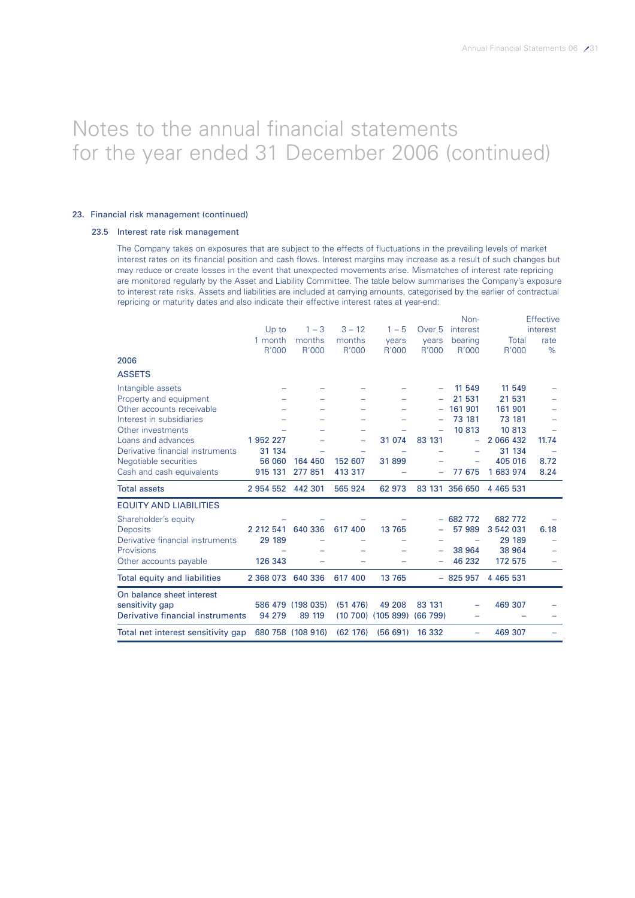### 23. Financial risk management (continued)

### 23.5 Interest rate risk management

The Company takes on exposures that are subject to the effects of fluctuations in the prevailing levels of market interest rates on its financial position and cash flows. Interest margins may increase as a result of such changes but may reduce or create losses in the event that unexpected movements arise. Mismatches of interest rate repricing are monitored regularly by the Asset and Liability Committee. The table below summarises the Company's exposure to interest rate risks. Assets and liabilities are included at carrying amounts, categorised by the earlier of contractual repricing or maturity dates and also indicate their effective interest rates at year-end:

|                                         |               |                   |          |                          |                   | Non-                     |               | <b>Effective</b> |
|-----------------------------------------|---------------|-------------------|----------|--------------------------|-------------------|--------------------------|---------------|------------------|
|                                         | Up to         | $1 - 3$           | $3 - 12$ | $1 - 5$                  | Over <sub>5</sub> | interest                 |               | interest         |
|                                         | 1 month       | months            | months   | vears                    | vears             | bearing                  | Total         | rate             |
|                                         | R'000         | R'000             | R'000    | R'000                    | R'000             | R'000                    | R'000         | $\%$             |
| 2006                                    |               |                   |          |                          |                   |                          |               |                  |
| <b>ASSETS</b>                           |               |                   |          |                          |                   |                          |               |                  |
| Intangible assets                       |               |                   |          |                          |                   | 11 549                   | 11 549        |                  |
| Property and equipment                  |               |                   |          |                          |                   | 21 531                   | 21 531        |                  |
| Other accounts receivable               |               |                   |          |                          |                   | 161 901                  | 161 901       |                  |
| Interest in subsidiaries                |               |                   |          |                          |                   | 73 181                   | 73 181        |                  |
| Other investments                       |               |                   |          |                          | -                 | 10 813                   | 10 813        |                  |
| Loans and advances                      | 1952227       |                   |          | 31 074                   | 83 131            | $\overline{\phantom{0}}$ | 2 066 432     | 11.74            |
| Derivative financial instruments        | 31 134        |                   |          |                          |                   |                          | 31 134        |                  |
| Negotiable securities                   | 56 060        | 164 450           | 152 607  | 31899                    |                   |                          | 405 016       | 8.72             |
| Cash and cash equivalents               | 915 131       | 277 851           | 413 317  |                          |                   | 77 675                   | 1 683 974     | 8.24             |
| <b>Total assets</b>                     | 2 954 552     | 442 301           | 565 924  | 62 973                   |                   | 83 131 356 650           | 4 4 6 5 5 3 1 |                  |
|                                         |               |                   |          |                          |                   |                          |               |                  |
| <b>EQUITY AND LIABILITIES</b>           |               |                   |          |                          |                   |                          |               |                  |
|                                         |               |                   |          |                          |                   | 682 772                  | 682 772       |                  |
| Shareholder's equity<br><b>Deposits</b> | 2 2 1 2 5 4 1 | 640 336           | 617 400  | 13 7 65                  |                   | 57 989                   | 3 542 031     | 6.18             |
| Derivative financial instruments        | 29 189        |                   |          |                          |                   | $\overline{\phantom{0}}$ | 29 189        |                  |
| Provisions                              |               |                   |          |                          |                   | 38 964                   | 38 964        |                  |
| Other accounts payable                  | 126 343       |                   |          |                          |                   | 46 232                   | 172 575       |                  |
| <b>Total equity and liabilities</b>     | 2 368 073     | 640 336           | 617 400  | 13 765                   |                   | $-825957$                | 4 4 6 5 5 3 1 |                  |
| On balance sheet interest               |               |                   |          |                          |                   |                          |               |                  |
| sensitivity gap                         |               | 586 479 (198 035) | (51476)  | 49 208                   | 83 131            | $\overline{\phantom{0}}$ | 469 307       |                  |
| Derivative financial instruments        | 94 279        | 89 119            |          | $(10\ 700)$ $(105\ 899)$ | (66799)           |                          |               |                  |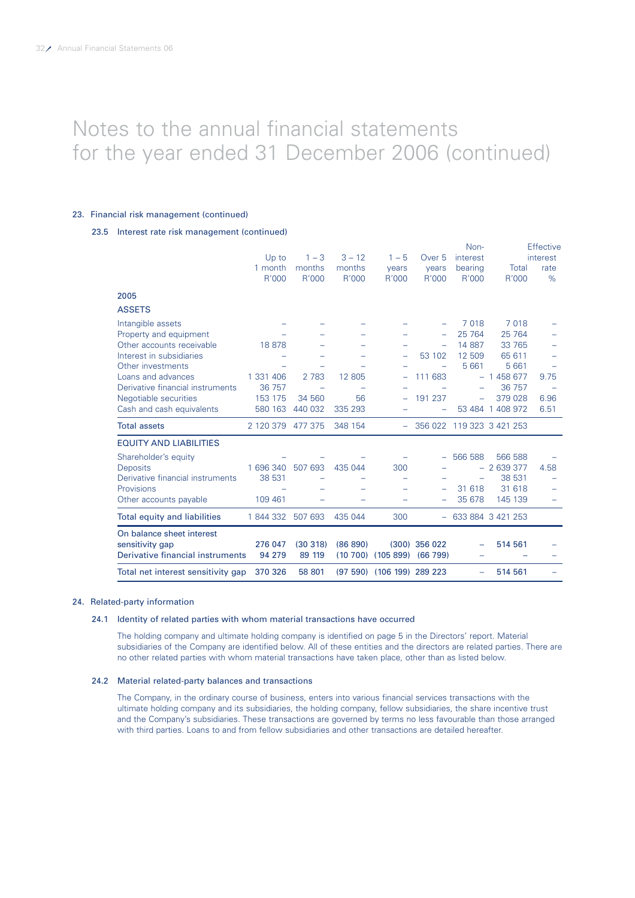### 23. Financial risk management (continued)

23.5 Interest rate risk management (continued)

|                                    |           |         |          |                            |                   | Non-                     |                           | <b>Effective</b> |
|------------------------------------|-----------|---------|----------|----------------------------|-------------------|--------------------------|---------------------------|------------------|
|                                    | Up to     | $1 - 3$ | $3 - 12$ | $1 - 5$                    | Over <sub>5</sub> | interest                 |                           | interest         |
|                                    | 1 month   | months  | months   | years                      | vears             | bearing                  | Total                     | rate             |
|                                    | R'000     | R'000   | R'000    | R'000                      | R'000             | R'000                    | R'000                     | $\%$             |
| 2005                               |           |         |          |                            |                   |                          |                           |                  |
| <b>ASSETS</b>                      |           |         |          |                            |                   |                          |                           |                  |
| Intangible assets                  |           |         |          |                            |                   | 7018                     | 7 0 18                    |                  |
| Property and equipment             |           |         |          |                            |                   | 25 7 64                  | 25 7 64                   |                  |
| Other accounts receivable          | 18878     |         |          |                            | $\rightarrow$     | 14 887                   | 33 765                    |                  |
| Interest in subsidiaries           |           |         |          |                            | 53 102            | 12 509                   | 65 611                    |                  |
| Other investments                  |           |         |          |                            |                   | 5661                     | 5 661                     |                  |
| Loans and advances                 | 1 331 406 | 2 7 8 3 | 12 805   |                            | 111 683           |                          | $-1458677$                | 9.75             |
| Derivative financial instruments   | 36 757    | -       |          |                            |                   | ÷                        | 36 757                    |                  |
| Negotiable securities              | 153 175   | 34 560  | 56       |                            | 191 237           | $\overline{\phantom{0}}$ | 379 028                   | 6.96             |
| Cash and cash equivalents          | 580 163   | 440 032 | 335 293  |                            |                   |                          | 53 484 1 408 972          | 6.51             |
| <b>Total assets</b>                | 2 120 379 | 477 375 | 348 154  |                            |                   |                          | 356 022 119 323 3 421 253 |                  |
| <b>EQUITY AND LIABILITIES</b>      |           |         |          |                            |                   |                          |                           |                  |
| Shareholder's equity               |           |         |          |                            |                   | 566 588                  | 566 588                   |                  |
| <b>Deposits</b>                    | 1 696 340 | 507 693 | 435 044  | 300                        |                   |                          | $-2639377$                | 4.58             |
| Derivative financial instruments   | 38 531    |         |          | $\overline{\phantom{0}}$   |                   |                          | 38 531                    |                  |
| Provisions                         |           |         |          |                            |                   | 31 618                   | 31 618                    |                  |
| Other accounts payable             | 109 461   |         |          |                            |                   | 35 678                   | 145 139                   |                  |
| Total equity and liabilities       | 1844332   | 507 693 | 435 044  | 300                        |                   |                          | 633 884 3 421 253         |                  |
| On balance sheet interest          |           |         |          |                            |                   |                          |                           |                  |
| sensitivity gap                    | 276 047   | (30318) | (86 890) |                            | (300) 356 022     |                          | 514 561                   |                  |
| Derivative financial instruments   | 94 279    | 89 119  |          | $(10\ 700)$ $(105\ 899)$   | (66799)           |                          |                           |                  |
| Total net interest sensitivity gap | 370 326   | 58 801  |          | (97 590) (106 199) 289 223 |                   |                          | 514 561                   |                  |

#### 24. Related-party information

#### 24.1 Identity of related parties with whom material transactions have occurred

The holding company and ultimate holding company is identified on page 5 in the Directors' report. Material subsidiaries of the Company are identified below. All of these entities and the directors are related parties. There are no other related parties with whom material transactions have taken place, other than as listed below.

### 24.2 Material related-party balances and transactions

The Company, in the ordinary course of business, enters into various financial services transactions with the ultimate holding company and its subsidiaries, the holding company, fellow subsidiaries, the share incentive trust and the Company's subsidiaries. These transactions are governed by terms no less favourable than those arranged with third parties. Loans to and from fellow subsidiaries and other transactions are detailed hereafter.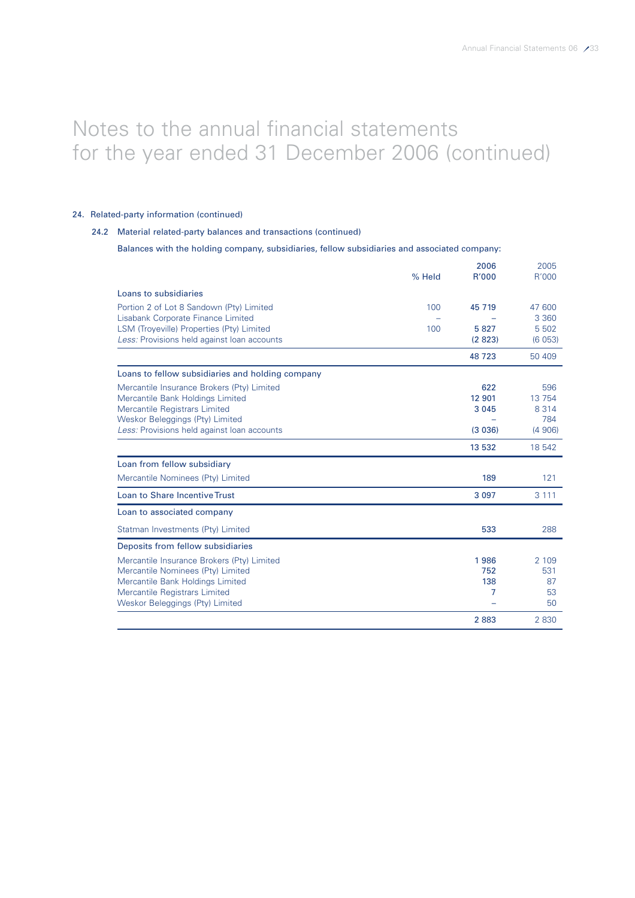### 24. Related-party information (continued)

# 24.2 Material related-party balances and transactions (continued)

Balances with the holding company, subsidiaries, fellow subsidiaries and associated company:

|                                                  |        | 2006    | 2005    |
|--------------------------------------------------|--------|---------|---------|
|                                                  | % Held | R'000   | R'000   |
| Loans to subsidiaries                            |        |         |         |
| Portion 2 of Lot 8 Sandown (Pty) Limited         | 100    | 45 7 19 | 47 600  |
| Lisabank Corporate Finance Limited               |        |         | 3 3 6 0 |
| LSM (Troyeville) Properties (Pty) Limited        | 100    | 5827    | 5 5 0 2 |
| Less: Provisions held against loan accounts      |        | (2823)  | (6053)  |
|                                                  |        | 48723   | 50 409  |
| Loans to fellow subsidiaries and holding company |        |         |         |
| Mercantile Insurance Brokers (Pty) Limited       |        | 622     | 596     |
| Mercantile Bank Holdings Limited                 |        | 12 901  | 13 754  |
| Mercantile Registrars Limited                    |        | 3 0 4 5 | 8 3 1 4 |
| Weskor Beleggings (Pty) Limited                  |        |         | 784     |
| Less: Provisions held against loan accounts      |        | (3036)  | (4906)  |
|                                                  |        | 13 532  | 18 542  |
| Loan from fellow subsidiary                      |        |         |         |
| Mercantile Nominees (Pty) Limited                |        | 189     | 121     |
| <b>Loan to Share Incentive Trust</b>             |        | 3 0 9 7 | 3 1 1 1 |
| Loan to associated company                       |        |         |         |
| Statman Investments (Pty) Limited                |        | 533     | 288     |
| Deposits from fellow subsidiaries                |        |         |         |
| Mercantile Insurance Brokers (Pty) Limited       |        | 1986    | 2 1 0 9 |
| Mercantile Nominees (Pty) Limited                |        | 752     | 531     |
| Mercantile Bank Holdings Limited                 |        | 138     | 87      |
| Mercantile Registrars Limited                    |        | 7       | 53      |
| Weskor Beleggings (Pty) Limited                  |        |         | 50      |
|                                                  |        | 2883    | 2 8 3 0 |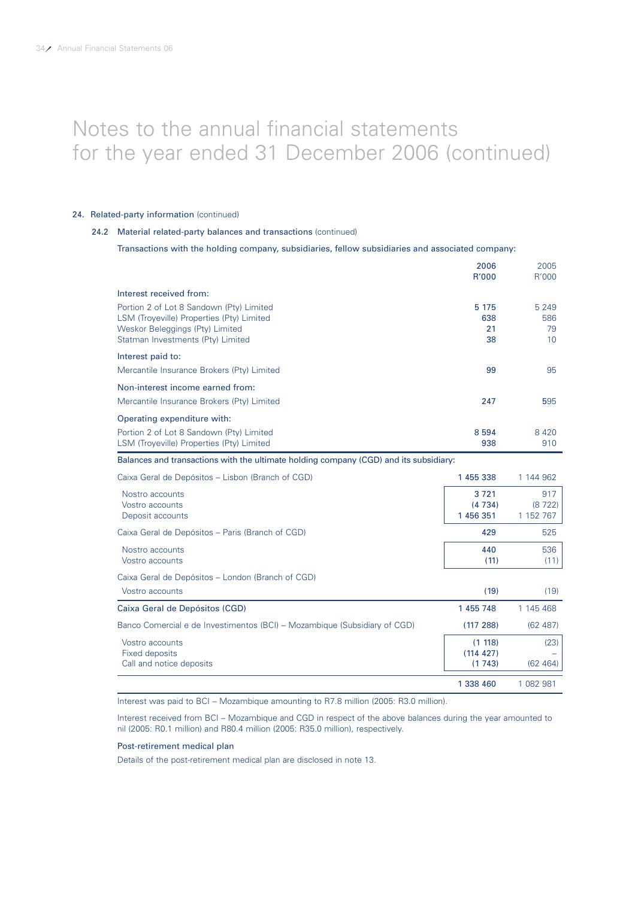### 24. Related-party information (continued)

### 24.2 Material related-party balances and transactions (continued)

Transactions with the holding company, subsidiaries, fellow subsidiaries and associated company:

|                                                                                                                                                               | 2006<br>R'000               | 2005<br>R'000                           |
|---------------------------------------------------------------------------------------------------------------------------------------------------------------|-----------------------------|-----------------------------------------|
| Interest received from:                                                                                                                                       |                             |                                         |
| Portion 2 of Lot 8 Sandown (Pty) Limited<br>LSM (Troyeville) Properties (Pty) Limited<br>Weskor Beleggings (Pty) Limited<br>Statman Investments (Pty) Limited | 5 1 7 5<br>638<br>21<br>38  | 5 2 4 9<br>586<br>79<br>10 <sup>°</sup> |
| Interest paid to:                                                                                                                                             |                             |                                         |
| Mercantile Insurance Brokers (Pty) Limited                                                                                                                    | 99                          | 95                                      |
| Non-interest income earned from:                                                                                                                              |                             |                                         |
| Mercantile Insurance Brokers (Pty) Limited                                                                                                                    | 247                         | 595                                     |
| Operating expenditure with:                                                                                                                                   |                             |                                         |
| Portion 2 of Lot 8 Sandown (Pty) Limited<br>LSM (Troyeville) Properties (Pty) Limited                                                                         | 8 5 9 4<br>938              | 8420<br>910                             |
| Balances and transactions with the ultimate holding company (CGD) and its subsidiary:                                                                         |                             |                                         |
| Caixa Geral de Depósitos - Lisbon (Branch of CGD)                                                                                                             | 1 455 338                   | 1 144 962                               |
| Nostro accounts<br>Vostro accounts<br>Deposit accounts                                                                                                        | 3721<br>(4734)<br>1 456 351 | 917<br>(8722)<br>1 152 767              |
| Caixa Geral de Depósitos - Paris (Branch of CGD)                                                                                                              | 429                         | 525                                     |
| Nostro accounts<br>Vostro accounts                                                                                                                            | 440<br>(11)                 | 536<br>(11)                             |
| Caixa Geral de Depósitos - London (Branch of CGD)                                                                                                             |                             |                                         |
| Vostro accounts                                                                                                                                               | (19)                        | (19)                                    |
| Caixa Geral de Depósitos (CGD)                                                                                                                                | 1 455 748                   | 1 145 468                               |
| Banco Comercial e de Investimentos (BCI) – Mozambique (Subsidiary of CGD)                                                                                     | (117 288)                   | (62 487)                                |
| Vostro accounts                                                                                                                                               | (1 118)                     | (23)                                    |
| <b>Fixed deposits</b><br>Call and notice deposits                                                                                                             | (114 427)<br>(1743)         | (62 464)                                |
|                                                                                                                                                               | 1 338 460                   | 1 082 981                               |

Interest was paid to BCI – Mozambique amounting to R7.8 million (2005: R3.0 million).

Interest received from BCI – Mozambique and CGD in respect of the above balances during the year amounted to nil (2005: R0.1 million) and R80.4 million (2005: R35.0 million), respectively.

#### Post-retirement medical plan

Details of the post-retirement medical plan are disclosed in note 13.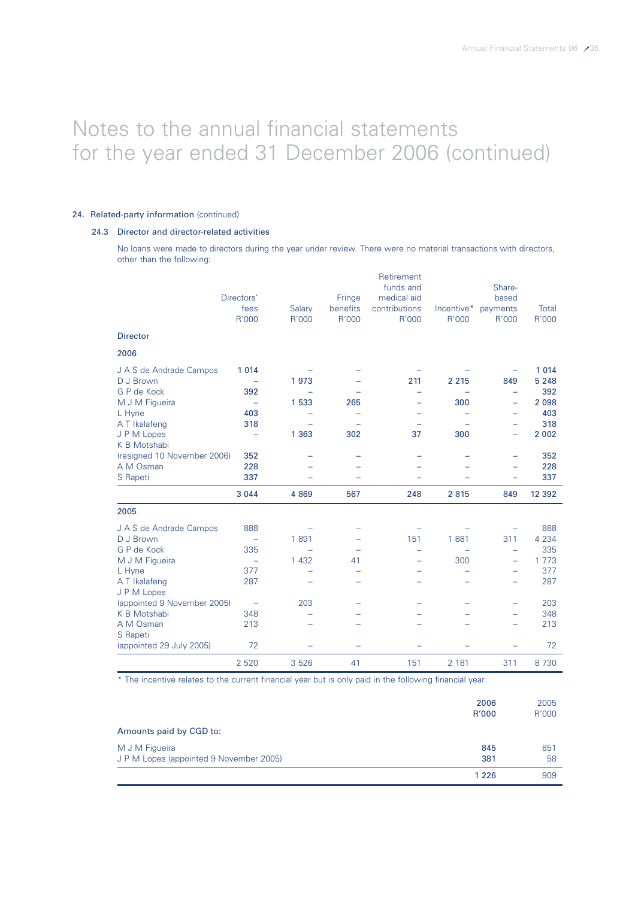### 24. Related-party information (continued)

# 24.3 Director and director-related activities

No loans were made to directors during the year under review. There were no material transactions with directors, other than the following:

|                             |                          |                          |                          | Retirement<br>funds and  |                          | Share-                   |          |
|-----------------------------|--------------------------|--------------------------|--------------------------|--------------------------|--------------------------|--------------------------|----------|
|                             | Directors'               |                          | Fringe                   | medical aid              |                          | based                    |          |
|                             | fees                     | Salary                   | benefits                 | contributions            | Incentive*               | payments                 | Total    |
|                             | R'000                    | R'000                    | R'000                    | R'000                    | R'000                    | R'000                    | R'000    |
| <b>Director</b>             |                          |                          |                          |                          |                          |                          |          |
| 2006                        |                          |                          |                          |                          |                          |                          |          |
| J A S de Andrade Campos     | 1 0 1 4                  |                          |                          |                          |                          |                          | 1 0 1 4  |
| D J Brown                   | -                        | 1973                     |                          | 211                      | 2 2 1 5                  | 849                      | 5 2 4 8  |
| G P de Kock                 | 392                      | -                        |                          | $\overline{\phantom{0}}$ | $\overline{\phantom{m}}$ | ÷                        | 392      |
| M J M Figueira              | ÷                        | 1533                     | 265                      | $\overline{\phantom{0}}$ | 300                      | $\overline{\phantom{0}}$ | 2 0 9 8  |
| L Hyne                      | 403                      | $\overline{\phantom{0}}$ | $\overline{\phantom{0}}$ |                          | $\overline{\phantom{0}}$ | $\overline{\phantom{m}}$ | 403      |
| A T Ikalafeng               | 318                      |                          |                          | -                        |                          | ۰                        | 318      |
| J P M Lopes                 | $\overline{\phantom{0}}$ | 1 3 6 3                  | 302                      | 37                       | 300                      | $\overline{\phantom{m}}$ | 2 0 0 2  |
| K B Motshabi                |                          |                          |                          |                          |                          |                          |          |
| (resigned 10 November 2006) | 352                      |                          | -                        | -                        |                          | $\overline{\phantom{0}}$ | 352      |
| A M Osman                   | 228                      |                          |                          |                          |                          | $\overline{\phantom{0}}$ | 228      |
| S Rapeti                    | 337                      |                          |                          |                          |                          |                          | 337      |
|                             | 3 0 4 4                  | 4 8 6 9                  | 567                      | 248                      | 2 8 1 5                  | 849                      | 12 3 9 2 |
| 2005                        |                          |                          |                          |                          |                          |                          |          |
| J A S de Andrade Campos     | 888                      |                          |                          |                          |                          |                          |          |
|                             |                          |                          |                          |                          |                          |                          | 888      |
| D J Brown                   | $\overline{\phantom{0}}$ | 1891                     |                          | 151                      | 1881                     | 311                      | 4 2 3 4  |
| G P de Kock                 | 335                      |                          |                          |                          |                          | $\overline{\phantom{0}}$ | 335      |
| M J M Figueira              | ÷                        | 1 4 3 2                  | 41                       | $\overline{\phantom{0}}$ | 300                      | $\overline{\phantom{0}}$ | 1 7 7 3  |
| L Hyne                      | 377                      |                          |                          |                          |                          | $\rightarrow$            | 377      |
| A T Ikalafeng               | 287                      |                          |                          |                          |                          | $\overline{\phantom{0}}$ | 287      |
| J P M Lopes                 |                          |                          |                          |                          |                          |                          |          |
| (appointed 9 November 2005) | $\qquad \qquad -$        | 203                      | $\overline{\phantom{0}}$ |                          |                          | $\overline{\phantom{0}}$ | 203      |
| K B Motshabi                | 348                      |                          |                          |                          |                          | $\overline{\phantom{0}}$ | 348      |
| A M Osman                   | 213                      |                          |                          |                          |                          | $\overline{\phantom{0}}$ | 213      |
| S Rapeti                    |                          |                          |                          |                          |                          |                          |          |
| (appointed 29 July 2005)    | 72                       |                          |                          |                          |                          |                          | 72       |

\* The incentive relates to the current financial year but is only paid in the following financial year.

|                                                           | 1 2 2 6       | 909           |
|-----------------------------------------------------------|---------------|---------------|
| M J M Figueira<br>J P M Lopes (appointed 9 November 2005) | 845<br>381    | 851<br>58     |
| Amounts paid by CGD to:                                   |               |               |
|                                                           | 2006<br>R'000 | 2005<br>R'000 |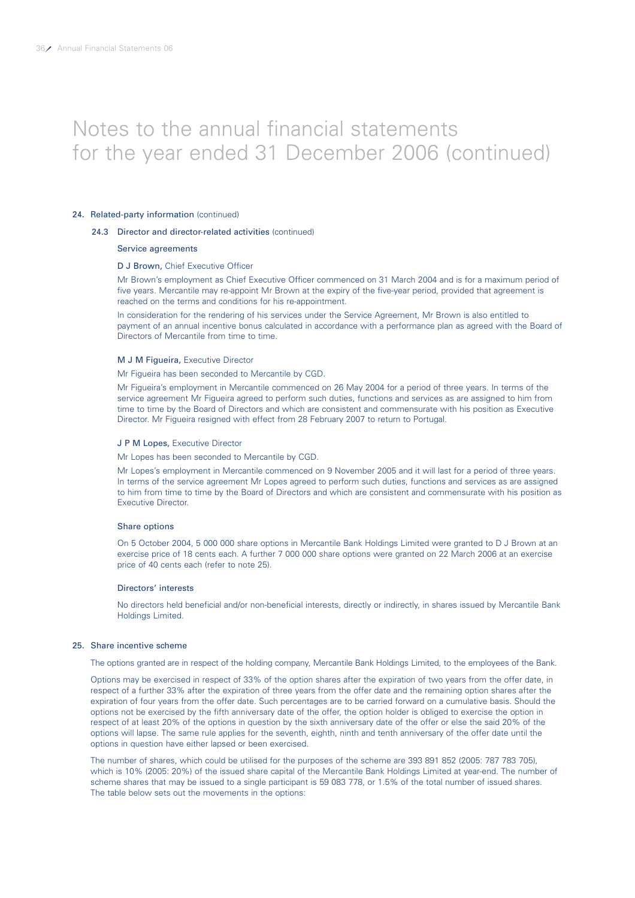#### 24. Related-party information (continued)

#### 24.3 Director and director-related activities (continued)

#### Service agreements

#### D J Brown, Chief Executive Officer

Mr Brown's employment as Chief Executive Officer commenced on 31 March 2004 and is for a maximum period of five years. Mercantile may re-appoint Mr Brown at the expiry of the five-year period, provided that agreement is reached on the terms and conditions for his re-appointment.

In consideration for the rendering of his services under the Service Agreement, Mr Brown is also entitled to payment of an annual incentive bonus calculated in accordance with a performance plan as agreed with the Board of Directors of Mercantile from time to time.

#### M J M Figueira, Executive Director

Mr Figueira has been seconded to Mercantile by CGD.

Mr Figueira's employment in Mercantile commenced on 26 May 2004 for a period of three years. In terms of the service agreement Mr Figueira agreed to perform such duties, functions and services as are assigned to him from time to time by the Board of Directors and which are consistent and commensurate with his position as Executive Director. Mr Figueira resigned with effect from 28 February 2007 to return to Portugal.

#### J P M Lopes, Executive Director

Mr Lopes has been seconded to Mercantile by CGD.

Mr Lopes's employment in Mercantile commenced on 9 November 2005 and it will last for a period of three years. In terms of the service agreement Mr Lopes agreed to perform such duties, functions and services as are assigned to him from time to time by the Board of Directors and which are consistent and commensurate with his position as Executive Director.

#### Share options

On 5 October 2004, 5 000 000 share options in Mercantile Bank Holdings Limited were granted to D J Brown at an exercise price of 18 cents each. A further 7 000 000 share options were granted on 22 March 2006 at an exercise price of 40 cents each (refer to note 25).

#### Directors' interests

No directors held beneficial and/or non-beneficial interests, directly or indirectly, in shares issued by Mercantile Bank Holdings Limited.

### 25. Share incentive scheme

The options granted are in respect of the holding company, Mercantile Bank Holdings Limited, to the employees of the Bank.

Options may be exercised in respect of 33% of the option shares after the expiration of two years from the offer date, in respect of a further 33% after the expiration of three years from the offer date and the remaining option shares after the expiration of four years from the offer date. Such percentages are to be carried forward on a cumulative basis. Should the options not be exercised by the fifth anniversary date of the offer, the option holder is obliged to exercise the option in respect of at least 20% of the options in question by the sixth anniversary date of the offer or else the said 20% of the options will lapse. The same rule applies for the seventh, eighth, ninth and tenth anniversary of the offer date until the options in question have either lapsed or been exercised.

The number of shares, which could be utilised for the purposes of the scheme are 393 891 852 (2005: 787 783 705), which is 10% (2005: 20%) of the issued share capital of the Mercantile Bank Holdings Limited at year-end. The number of scheme shares that may be issued to a single participant is 59 083 778, or 1.5% of the total number of issued shares. The table below sets out the movements in the options: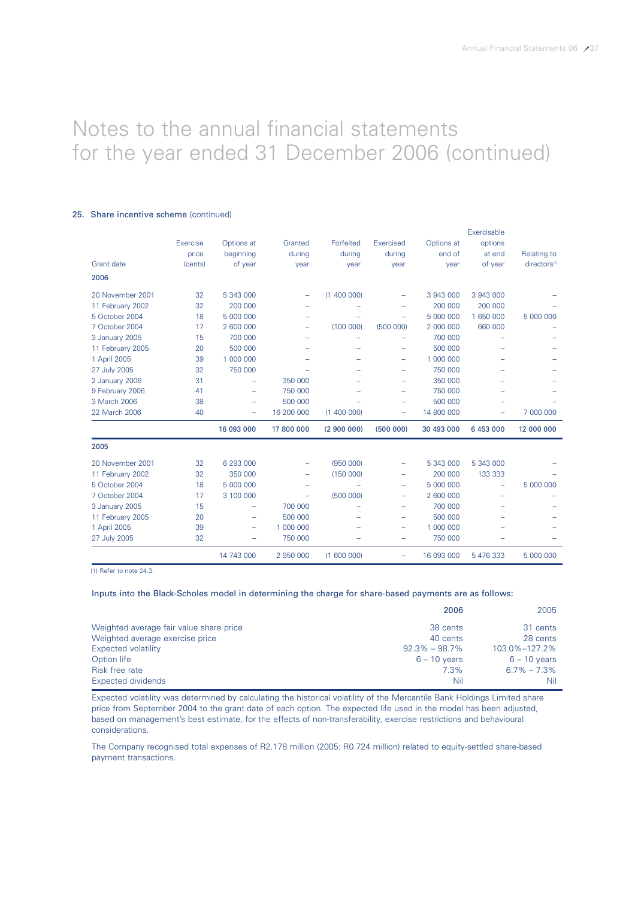### 25. Share incentive scheme (continued)

|                   |          |            |            |           |                          |            | Exercisable              |                          |
|-------------------|----------|------------|------------|-----------|--------------------------|------------|--------------------------|--------------------------|
|                   | Exercise | Options at | Granted    | Forfeited | Exercised                | Options at | options                  |                          |
|                   | price    | beginning  | during     | during    | durina                   | end of     | at end                   | Relating to              |
| <b>Grant date</b> | (cents)  | of year    | year       | year      | year                     | year       | of year                  | directors <sup>(1)</sup> |
| 2006              |          |            |            |           |                          |            |                          |                          |
| 20 November 2001  | 32       | 5 343 000  | ۰          | (1400000) |                          | 3 943 000  | 3 943 000                |                          |
| 11 February 2002  | 32       | 200 000    |            |           |                          | 200 000    | 200 000                  |                          |
| 5 October 2004    | 18       | 5 000 000  |            |           |                          | 5 000 000  | 1 650 000                | 5 000 000                |
| 7 October 2004    | 17       | 2 600 000  | ۰          | (100000)  | (500000)                 | 2 000 000  | 660 000                  |                          |
| 3 January 2005    | 15       | 700 000    | ۰          | ÷         |                          | 700 000    | -                        |                          |
| 11 February 2005  | 20       | 500 000    |            |           | ۰                        | 500 000    |                          |                          |
| 1 April 2005      | 39       | 1 000 000  |            |           | $\overline{\phantom{a}}$ | 1 000 000  |                          |                          |
| 27 July 2005      | 32       | 750 000    |            |           |                          | 750 000    |                          |                          |
| 2 January 2006    | 31       | -          | 350 000    |           | $\overline{\phantom{a}}$ | 350 000    |                          |                          |
| 9 February 2006   | 41       | -          | 750 000    |           |                          | 750 000    |                          |                          |
| 3 March 2006      | 38       | -          | 500 000    |           | ۰                        | 500 000    | -                        |                          |
| 22 March 2006     | 40       | -          | 16 200 000 | (1400000) | ۰                        | 14 800 000 | $\overline{\phantom{0}}$ | 7 000 000                |
|                   |          | 16 093 000 | 17 800 000 | (2900000) | (500000)                 | 30 493 000 | 6 453 000                | 12 000 000               |
| 2005              |          |            |            |           |                          |            |                          |                          |
| 20 November 2001  | 32       | 6 293 000  | ۰          | (950000)  | ۰                        | 5 343 000  | 5 343 000                |                          |
| 11 February 2002  | 32       | 350 000    |            | (150000)  | ۰                        | 200 000    | 133 333                  |                          |
| 5 October 2004    | 18       | 5 000 000  |            |           | ۰                        | 5 000 000  | -                        | 5 000 000                |
| 7 October 2004    | 17       | 3 100 000  | ۰          | (500000)  | ۰                        | 2 600 000  | -                        |                          |
| 3 January 2005    | 15       |            | 700 000    |           | ۰                        | 700 000    |                          |                          |
| 11 February 2005  | 20       |            | 500 000    |           | ۰                        | 500 000    |                          |                          |
| 1 April 2005      | 39       | -          | 1 000 000  |           | ۰                        | 1 000 000  |                          |                          |
| 27 July 2005      | 32       | -          | 750 000    |           | ۰                        | 750 000    |                          |                          |
|                   |          | 14 743 000 | 2 950 000  | (1600000) | ÷                        | 16 093 000 | 5 476 333                | 5 000 000                |

(1) Refer to note 24.3.

#### Inputs into the Black-Scholes model in determining the charge for share-based payments are as follows:

|                                         | 2006              | 2005            |
|-----------------------------------------|-------------------|-----------------|
| Weighted average fair value share price | 38 cents          | 31 cents        |
| Weighted average exercise price         | 40 cents          | 28 cents        |
| Expected volatility                     | $92.3\% - 98.7\%$ | 103.0%-127.2%   |
| Option life                             | $6 - 10$ vears    | $6 - 10$ years  |
| Risk free rate                          | 7.3%              | $6.7\% - 7.3\%$ |
| Expected dividends                      | Nil               | Nil             |

Expected volatility was determined by calculating the historical volatility of the Mercantile Bank Holdings Limited share price from September 2004 to the grant date of each option. The expected life used in the model has been adjusted, based on management's best estimate, for the effects of non-transferability, exercise restrictions and behavioural considerations.

The Company recognised total expenses of R2.178 million (2005: R0.724 million) related to equity-settled share-based payment transactions.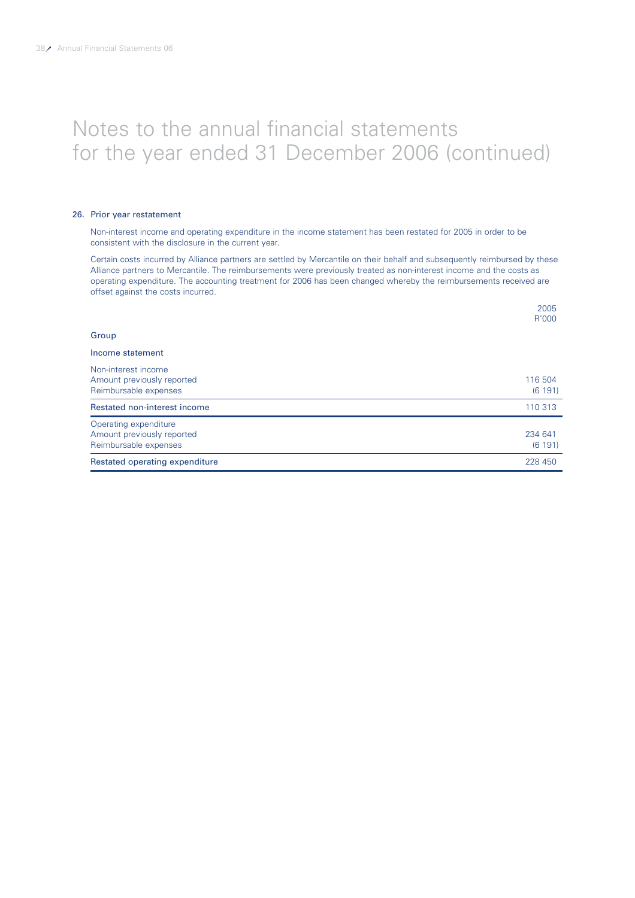### 26. Prior year restatement

Non-interest income and operating expenditure in the income statement has been restated for 2005 in order to be consistent with the disclosure in the current year.

Certain costs incurred by Alliance partners are settled by Mercantile on their behalf and subsequently reimbursed by these Alliance partners to Mercantile. The reimbursements were previously treated as non-interest income and the costs as operating expenditure. The accounting treatment for 2006 has been changed whereby the reimbursements received are offset against the costs incurred.

|                                                                              | 2005<br>R'000     |
|------------------------------------------------------------------------------|-------------------|
| Group                                                                        |                   |
| Income statement                                                             |                   |
| Non-interest income<br>Amount previously reported<br>Reimbursable expenses   | 116 504<br>(6191) |
| Restated non-interest income                                                 | 110 313           |
| Operating expenditure<br>Amount previously reported<br>Reimbursable expenses | 234 641<br>(6191) |
| Restated operating expenditure                                               | 228 450           |